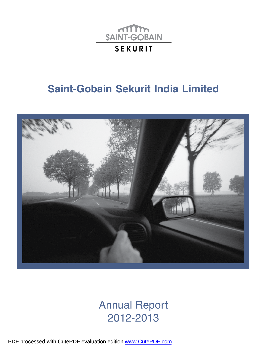

# **Saint-Gobain Sekurit India Limited**



# Annual Report 2012-2013

PDF processed with CutePDF evaluation edition [www.CutePDF.com](http://www.cutepdf.com)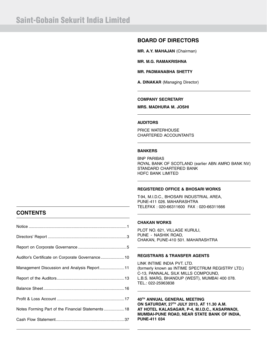### **BOARD OF DIRECTORS**

**MR. A.Y. MAHAJAN** (Chairman)

**MR. M.G. RAMAKRISHNA**

**MR. PADMANABHA SHETTY**

**A. DINAKAR** (Managing Director)

#### **COMPANY SECRETARY**

**MRS. MADHURA M. JOSHI**

#### **AUDITORS**

PRICE WATERHOUSE CHARTERED ACCOUNTANTS

#### **BANKERS**

BNP PARIBAS ROYAL BANK OF SCOTLAND (earlier ABN AMRO BANK NV) STANDARD CHARTERED BANK HDFC BANK LIMITED

#### **REGISTERED OFFICE & BHOSARI WORKS**

T-94, M.I.D.C., BHOSARI INDUSTRIAL AREA, PUNE-411 026. MAHARASHTRA TELEFAX : 020-66311600 FAX : 020-66311666

### **CONTENTS**

| Auditor's Certificate on Corporate Governance 10   |  |
|----------------------------------------------------|--|
| Management Discussion and Analysis Report 11       |  |
|                                                    |  |
|                                                    |  |
|                                                    |  |
| Notes Forming Part of the Financial Statements  18 |  |
|                                                    |  |
|                                                    |  |

#### **CHAKAN WORKS**

PLOT NO. 621, VILLAGE KURULI, PUNE - NASHIK ROAD, CHAKAN, PUNE-410 501. MAHARASHTRA

#### **REGISTRARS & TRANSFER AGENTS**

LINK INTIME INDIA PVT. LTD. (formerly known as INTIME SPECTRUM REGISTRY LTD.) C-13, PANNALAL SILK MILLS COMPOUND, L.B.S. MARG, BHANDUP (WEST), MUMBAI 400 078. TEL.: 022-25963838

#### **40TH ANNUAL GENERAL MEETING ON SATURDAY, 27TH JULY 2013, AT 11.30 A.M. AT HOTEL KALASAGAR, P-4, M.I.D.C., KASARWADI, MUMBAI-PUNE ROAD, NEAR STATE BANK OF INDIA, PUNE-411 034**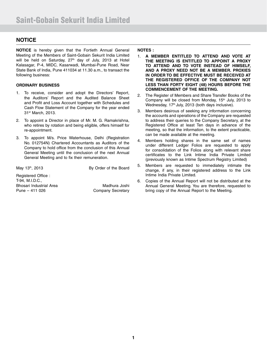### **NOTICE**

**NOTICE** is hereby given that the Fortieth Annual General Meeting of the Members of Saint-Gobain Sekurit India Limited will be held on Saturday,  $27<sup>th</sup>$  day of July, 2013 at Hotel Kalasagar, P-4, MIDC, Kasarwadi, Mumbai-Pune Road, Near State Bank of India, Pune 411034 at 11.30 a.m., to transact the following business:

#### **ORDINARY BUSINESS**

- 1. To receive, consider and adopt the Directors' Report, the Auditors' Report and the Audited Balance Sheet and Profit and Loss Account together with Schedules and Cash Flow Statement of the Company for the year ended 31st March, 2013.
- 2. To appoint a Director in place of Mr. M. G. Ramakrishna, who retires by rotation and being eligible, offers himself for re-appointment.
- 3. To appoint M/s. Price Waterhouse, Delhi (Registration No. 012754N) Chartered Accountants as Auditors of the Company to hold office from the conclusion of this Annual General Meeting until the conclusion of the next Annual General Meeting and to fix their remuneration.

May 13<sup>th</sup>, 2013 By Order of the Board

Registered Office : T-94, M.I.D.C., Bhosari Industrial Area Madhura Joshi Pune – 411 026 Company Secretary

#### **NOTES :**

- 1. **A MEMBER ENTITLED TO ATTEND AND VOTE AT THE MEETING IS ENTITLED TO APPOINT A PROXY TO ATTEND AND TO VOTE INSTEAD OF HIMSELF, AND A PROXY NEED NOT BE A MEMBER. PROXIES IN ORDER TO BE EFFECTIVE MUST BE RECEIVED AT THE REGISTERED OFFICE OF THE COMPANY NOT LESS THAN FORTY EIGHT (48) HOURS BEFORE THE COMMENCEMENT OF THE MEETING.**
- 2. The Register of Members and Share Transfer Books of the Company will be closed from Monday, 15<sup>th</sup> July, 2013 to Wednesday, 17<sup>th</sup> July, 2013 (both days inclusive).
- 3. Members desirous of seeking any information concerning the accounts and operations of the Company are requested to address their queries to the Company Secretary, at the Registered Office at least Ten days in advance of the meeting, so that the information, to the extent practicable, can be made available at the meeting.
- 4. Members holding shares in the same set of names under different Ledger Folios are requested to apply for consolidation of the Folios along with relevant share certificates to the Link Intime India Private Limited (previously known as Intime Spectrum Registry Limited)
- 5. Members are requested to immediately intimate the change, if any, in their registered address to the Link Intime India Private Limited.
- 6. Copies of the Annual Report will not be distributed at the Annual General Meeting. You are therefore, requested to bring copy of the Annual Report to the Meeting.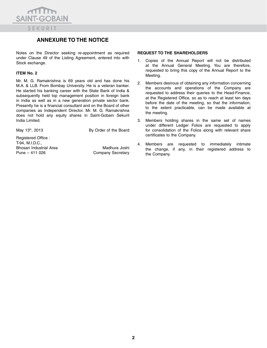

### **ANNEXURE TO THE NOTICE**

Notes on the Director seeking re-appointment as required under Clause 49 of the Listing Agreement, entered into with Stock exchange.

#### **ITEM No. 2**

Mr. M. G. Ramakrishna is 69 years old and has done his M.A. & LLB. From Bombay University. He is a veteran banker. He started his banking career with the State Bank of India & subsequently held top management position in foreign bank in India as well as in a new generation private sector bank. Presently he is a financial consultant and on the Board of other companies as Independent Director. Mr. M. G. Ramakrishna does not hold any equity shares in Saint-Gobain Sekurit India Limited.

May 13<sup>th</sup>, 2013 **By Order of the Board** 

Registered Office : T-94, M.I.D.C., Bhosari Industrial Area Madhura Joshi Pune – 411 026 Company Secretary

#### **REQUEST TO THE SHAREHOLDERS**

- 1. Copies of the Annual Report will not be distributed at the Annual General Meeting. You are therefore, requested to bring this copy of the Annual Report to the Meeting.
- 2. Members desirous of obtaining any information concerning the accounts and operations of the Company are requested to address their queries to the Head-Finance, at the Registered Office, so as to reach at least ten days before the date of the meeting, so that the information, to the extent practicable, can be made available at the meeting.
- 3. Members holding shares in the same set of names under different Ledger Folios are requested to apply for consolidation of the Folios along with relevant share certificates to the Company.
- 4. Members are requested to immediately intimate the change, if any, in their registered address to the Company.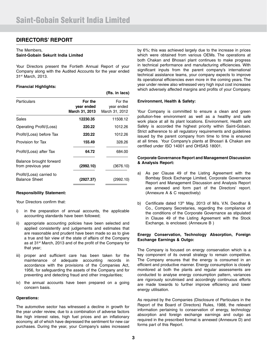### **DIRECTORS' REPORT**

#### The Members,

#### **Saint-Gobain Sekurit India Limited**

Your Directors present the Fortieth Annual Report of your Company along with the Audited Accounts for the year ended 31st March, 2013.

**(Rs. in lacs)**

#### **Financial Highlights:**

|                                                  |                                         | 1119. III 1409/                         |
|--------------------------------------------------|-----------------------------------------|-----------------------------------------|
| Particulars                                      | For the<br>year ended<br>March 31, 2013 | For the<br>year ended<br>March 31, 2012 |
| Sales                                            | 12230.35                                | 11508.12                                |
| Operating Profit/(Loss)                          | 220.22                                  | 1012.26                                 |
| Profit/(Loss) before Tax                         | 220.22                                  | 1012.26                                 |
| Provision for Tax                                | 155.49                                  | 328.26                                  |
| Profit/(Loss) after Tax                          | 64.72                                   | 684.00                                  |
| Balance brought forward<br>from previous year    | (2992.10)                               | (3676.10)                               |
| Profit/(Loss) carried to<br><b>Balance Sheet</b> | (2927.37)                               | (2992.10)                               |
|                                                  |                                         |                                         |

#### **Responsibility Statement:**

Your Directors confirm that:

- i) in the preparation of annual accounts, the applicable accounting standards have been followed;
- ii) appropriate accounting policies have been selected and applied consistently and judgements and estimates that are reasonable and prudent have been made so as to give a true and fair view of the state of affairs of the Company as at 31st March, 2013 and of the profit of the Company for that year;
- iii) proper and sufficient care has been taken for the maintenance of adequate accounting records in accordance with the provisions of the Companies Act, 1956, for safeguarding the assets of the Company and for preventing and detecting fraud and other irregularities;
- iv) the annual accounts have been prepared on a going concern basis.

#### **Operations:**

The automotive sector has witnessed a decline in growth for the year under review, due to a combination of adverse factors like high interest rates, high fuel prices and an inflationary economy, all of which have depressed the sentiment for new car purchases. During the year, your Company's sales increased

by 6%; this was achieved largely due to the increase in prices which were obtained from various OEMs. The operations at both Chakan and Bhosari plant continues to make progress in technical performance and manufacturing efficiencies. With significant inputs from the parent company's international technical assistance teams, your company expects to improve its operational efficiencies even more in the coming years. The year under review also witnessed very high input cost increases which adversely affected margins and profits of your Company.

#### **Environment, Health & Safety:**

Your Company is committed to ensure a clean and green pollution-free environment as well as a healthy and safe work place at all its plant locations. Environment, Health and Safety is accorded the highest priority within Saint-Gobain. Strict adherence to all regulatory requirements and guidelines issued by the parent company from time to time is ensured at all times. Your Company's plants at Bhosari & Chakan are certified under ISO 14001 and OHSAS 18001.

#### **Corporate Governance Report and Management Discussion & Analysis Report:**

- a) As per Clause 49 of the Listing Agreement with the Bombay Stock Exchange Limited, Corporate Governance Report and Management Discussion and Analysis Report are annexed and form part of the Directors' report. (Annexure A & C respectively)
- b) Certificate dated 13<sup>th</sup> May, 2013 of M/s. V.N. Deodhar & Co., Company Secretaries, regarding the compliance of the conditions of the Corporate Governance as stipulated in Clause 49 of the Listing Agreement with the Stock Exchange, is enclosed. (Annexure B )

#### **Energy Conservation, Technology Absorption, Foreign Exchange Earnings & Outgo:**

The Company is focused on energy conservation which is a key component of its overall strategy to remain competitive. The Company ensures that the energy is consumed in an efficient and productive manner. Energy consumption is closely monitored at both the plants and regular assessments are conducted to analyse energy consumption pattern, variances are rigorously scrutinised and accordingly continuous efforts are made towards to further improve efficiency and lower energy utilisation.

As required by the Companies (Disclosure of Particulars in the Report of the Board of Directors) Rules, 1988, the relevant information pertaining to conservation of energy, technology absorption and foreign exchange earnings and outgo as required in the prescribed format is annexed (Annexure D) and forms part of this Report.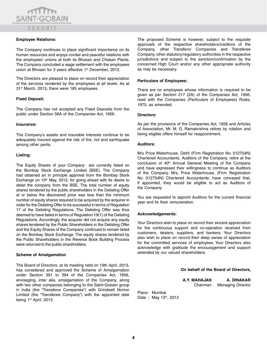#### **Employee Relations:**

The Company continues to place significant importance on its human resources and enjoys cordial and peaceful relations with the employees' unions at both its Bhosari and Chakan Plants. The Company concluded a wage settlement with the employees union at Bhosari for 3 years effective 1<sup>st</sup> December, 2012.

The Directors are pleased to place on record their appreciation of the services rendered by the employees at all levels. As at 31<sup>st</sup> March, 2013, there were 185 employees.

#### **Fixed Deposit:**

The Company has not accepted any Fixed Deposits from the public under Section 58A of the Companies Act, 1956.

#### **Insurance:**

The Company's assets and insurable interests continue to be adequately insured against the risk of fire, riot and earthquake among other perils.

#### **Listing:**

The Equity Shares of your Company are currently listed on the Bombay Stock Exchange Limited (BSE). The Company had obtained an in principle approval from the Bombay Stock Exchange on  $10<sup>th</sup>$  May, 2012, for going ahead with its desire to delist the company from the BSE. The total number of equity shares tendered by the public shareholders in the Delisting Offer at or below the discovered price was less than the minimum number of equity shares required to be acquired by the acquirer in order for the Delisting Offer to be successful in terms of Regulation 17 of the Delisting Regulations. The Delisting Offer was thus deemed to have failed in terms of Regulation 19(1) of the Delisting Regulations. Accordingly, the acquirer did not acquire any equity shares tendered by the Public Shareholders in the Delisting Offer and the Equity Shares of the Company continued to remain listed on the Bombay Stock Exchange. The equity shares tendered by the Public Shareholders in the Reverse Book Building Process were returned to the public shareholders.

#### **Scheme of Amalgamation**

The Board of Directors, at its meeting held on 19th April, 2013, has considered and approved the Scheme of Amalgamation under Section 391 to 394 of the Companies Act, 1956, envisaging, inter alia, amalgamation of the Company, along with two other companies belonging to the Saint-Gobain group in India (the "Transferor Companies") with Grindwell Norton Limited (the "Transferee Company") with the appointed date being 1<sup>st</sup> April, 2013.

The proposed Scheme is however, subject to the requisite approvals of the respective shareholders/creditors of the Company, other Transferor Companies and Transferee Company, other statutory/regulatory authorities in the respective jurisdictions and subject to the sanction/confirmation by the concerned High Court and/or any other appropriate authority as may be necessary.

#### **Particulars of Employees:**

There are no employees whose information is required to be given as per Section 217 (2A) of the Companies Act, 1956, read with the Companies (Particulars of Employees) Rules, 1975, as amended.

#### **Directors:**

As per the provisions of the Companies Act, 1956 and Articles of Association, Mr. M. G. Ramakrishna retires by rotation and being eligible offers himself for reappointment.

#### **Auditors:**

M/s Price Waterhouse, Delhi (Firm Registration No. 012754N) Chartered Accountants, Auditors of the Company, retire at the conclusion of 40<sup>th</sup> Annual General Meeting of the Company and have expressed their willingness to continue as Auditors of the Company. M/s. Price Waterhouse, (Firm Registration No. 012754N) Chartered Accountants, have conveyed that, if appointed, they would be eligible to act as Auditors of the Company.

You are requested to appoint Auditors for the current financial year and fix their remuneration.

#### **Acknowledgements:**

Your Directors wish to place on record their sincere appreciation for the continuous support and co-operation received from customers, dealers, suppliers, and bankers. Your Directors also wish to place on record their deep sense of appreciation for the committed services of employees. Your Directors also acknowledge with gratitude the encouragement and support extended by our valued shareholders.

#### **On behalf of the Board of Directors,**

**A.Y. MAHAJAN A. DINAKAR** Chairman Managing Director

Place : Mumbai Date: May 13th, 2013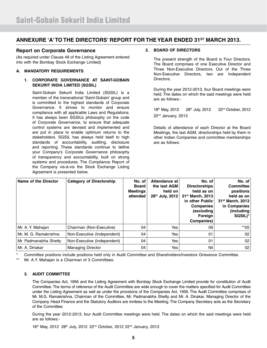### **ANNEXURE 'A' TO THE DIRECTORS' REPORT FOR THE YEAR ENDED 31ST MARCH 2013.**

#### **Report on Corporate Governance**

(As required under Clause 49 of the Listing Agreement entered into with the Bombay Stock Exchange Limited)

#### **A. MANDATORY REQUIREMENTS**

#### **1. CORPORATE GOVERNANCE AT SAINT-GOBAIN SEKURIT INDIA LIMITED (SGSIL)**

 Saint-Gobain Sekurit India Limited (SGSIL) is a member of the transnational 'Saint-Gobain' group and is committed to the highest standards of Corporate Governance. It strives to monitor and ensure compliance with all applicable Laws and Regulations. It has always been SGSIL's philosophy on the code of Corporate Governance, to ensure that adequate control systems are devised and implemented and are put in place to enable optimum returns to the stakeholders. SGSIL has always held itself to high standards of accountability, auditing, disclosure and reporting. These standards continue to define your Company's Corporate Governance philosophy of transparency and accountability, built on strong systems and procedures. The Compliance Report of the Company vis-à-vis the Stock Exchange Listing Agreement is presented below.

#### **2. BOARD OF DIRECTORS**

 The present strength of the Board is Four Directors. The Board comprises of one Executive Director and Three Non-Executive Directors. Out of the Three Non-Executive Directors, two are Independent Directors.

 During the year 2012-2013, four Board meetings were held. The dates on which the said meetings were held are as follows:-

18th May, 2012 28th July, 2012 22nd October, 2012 22nd January, 2013

 Details of attendance of each Director at the Board Meetings, the last AGM, directorships held by them in other Indian Companies and committee memberships are as follows:

| Name of the Director  | <b>Category of Directorship</b> | No. of<br><b>Board</b><br><b>Meetings</b><br>attended | Attendance at<br>the last AGM<br>held on<br>28 <sup>th</sup> July, 2012 | No. of<br><b>Directorships</b><br>held as on<br>31 <sup>st</sup> March, 2013<br>in other Public<br><b>Companies</b><br>(excluding<br>Foreign<br>Companies) | No. of<br><b>Committee</b><br>positions<br>held as on<br>31 <sup>st</sup> March, 2013<br>in Companies<br>(including)<br>SGSIL)* |
|-----------------------|---------------------------------|-------------------------------------------------------|-------------------------------------------------------------------------|------------------------------------------------------------------------------------------------------------------------------------------------------------|---------------------------------------------------------------------------------------------------------------------------------|
| Mr. A. Y. Mahajan     | Chairman (Non-Executive)        | 04                                                    | Yes                                                                     | 09                                                                                                                                                         | $*$ *05                                                                                                                         |
| Mr. M. G. Ramakrishna | Non-Executive (Independent)     | 04                                                    | Yes                                                                     | 01                                                                                                                                                         | 02                                                                                                                              |
| Mr. Padmanabha Shetty | Non-Executive (Independent)     | 04                                                    | Yes                                                                     | 01                                                                                                                                                         | 02 <sub>1</sub>                                                                                                                 |
| l Mr. A. Dinakar      | <b>Managing Director</b>        | 04                                                    | Yes                                                                     | Nil                                                                                                                                                        | 02                                                                                                                              |

\* Committee positions include positions held only in Audit Committee and Shareholders/Investors Grievance Committee.

Mr. A.Y. Mahajan is a Chairman of 3 Committees.

#### **3. AUDIT COMMITTEE**

 The Companies Act, 1956 and the Listing Agreement with Bombay Stock Exchange Limited provide for constitution of Audit Committee. The terms of reference of the Audit Committee are wide enough to cover the matters specified for Audit Committee under the Listing Agreement as well as under the provisions of the Companies Act, 1956. The Audit Committee comprises of Mr. M.G. Ramakrishna, Chairman of the Committee, Mr. Padmanabha Shetty and Mr. A. Dinakar, Managing Director of the Company. Head Finance and the Statutory Auditors are invitees to the Meeting. The Company Secretary acts as the Secretary of the Committee.

 During the year 2012-2013, four Audit Committee meetings were held. The dates on which the said meetings were held are as follows:-

18th May, 2012 28th July, 2012 22<sup>nd</sup> October, 2012 22<sup>nd</sup> January, 2013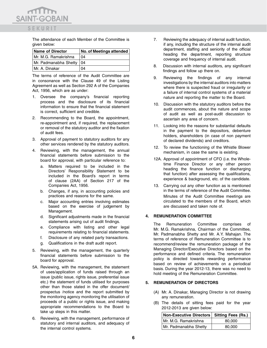The attendance of each Member of the Committee is given below:

SEKURIT

 $m_{\rm m}$ **SAINT-GOBAIN** 

| <b>Name of Director</b> | No. of Meetings attended |
|-------------------------|--------------------------|
| Mr. M.G. Ramakrishna    | 04                       |
| Mr. Padmanabha Shetty   | 04                       |
| I Mr. A. Dinakar        | 04                       |

 The terms of reference of the Audit Committee are in consonance with the Clause 49 of the Listing Agreement as well as Section 292 A of the Companies Act, 1956, which are as under:

- 1. Oversee the company's financial reporting process and the disclosure of its financial information to ensure that the financial statement is correct, sufficient and credible.
- 2. Recommending to the Board, the appointment, re-appointment and, if required, the replacement or removal of the statutory auditor and the fixation of audit fees.
- 3. Approval of payment to statutory auditors for any other services rendered by the statutory auditors.
- 4. Reviewing, with the management, the annual financial statements before submission to the board for approval, with particular reference to:
	- a. Matters required to be included in the Directors' Responsibility Statement to be included in the Board's report in terms of clause (2AA) of Section 217 of the Companies Act, 1956.
	- b. Changes, if any, in accounting policies and practices and reasons for the same.
	- c. Major accounting entries involving estimates based on the exercise of judgement by Management.
	- d. Significant adjustments made in the financial statements arising out of audit findings.
	- e. Compliance with listing and other legal requirements relating to financial statements.
	- f. Disclosure of any related party transactions.
	- g. Qualifications in the draft audit report.
- 5. Reviewing, with the management, the quarterly financial statements before submission to the board for approval.
- 5A. Reviewing, with the management, the statement of uses/application of funds raised through an issue (public issue, rights issue, preferential issue etc.) the statement of funds utilised for purposes other than those stated in the offer document/ prospectus /notice and the report submitted by the monitoring agency monitoring the utilisation of proceeds of a public or rights issue, and making appropriate recommendations to the Board to take up steps in this matter.
- 6. Reviewing, with the management, performance of statutory and internal auditors, and adequacy of the internal control systems.
- 7. Reviewing the adequacy of internal audit function, if any, including the structure of the internal audit department, staffing and seniority of the official heading the department, reporting structure coverage and frequency of internal audit.
- 8. Discussion with internal auditors, any significant findings and follow up there on.
- 9. Reviewing the findings of any internal investigations by the internal auditors into matters where there is suspected fraud or irregularity or a failure of internal control systems of a material nature and reporting the matter to the Board.
- 10. Discussion with the statutory auditors before the audit commences, about the nature and scope of audit as well as post-audit discussion to ascertain any area of concern.
- 11. Looking into the reasons for substantial defaults in the payment to the depositors, debenture holders, shareholders (in case of non payment of declared dividends) and creditors.
- 12. To review the functioning of the Whistle Blower mechanism, in case the same is existing.
- 12A. Approval of appointment of CFO (i.e. the Wholetime Finance Director or any other person heading the finance function or discharging that function) after assessing the qualifications, experience & background, etc. of the candidate.
- 13. Carrying out any other function as is mentioned in the terms of reference of the Audit Committee. Minutes of the Audit Committee meetings are circulated to the members of the Board, which are discussed and taken note of.

#### **4. REMUNERATION COMMITTEE**

 The Remuneration Committee comprises of Mr. M.G. Ramakrishna, Chairman of the Committee, Mr. Padmanabha Shetty and Mr. A.Y. Mahajan. The terms of reference of Remuneration Committee is to recommend/review the remuneration package of the Managing Director/Executive Directors based on the performance and defined criteria. The remuneration policy is directed towards rewarding performance based on review of achievements on a periodical basis. During the year 2012-13, there was no need to hold meeting of the Remuneration Committee.

#### **5. REMUNERATION OF DIRECTORS**

- (A) Mr. A. Dinakar, Managing Director is not drawing any remuneration.
- (B) The details of sitting fees paid for the year 2012-2013 are given below:

| <b>Non-Executive Directors Sitting Fees (Rs.)</b> |        |
|---------------------------------------------------|--------|
| Mr. M.G. Ramakrishna                              | 80,000 |
| Mr. Padmanabha Shetty                             | 80,000 |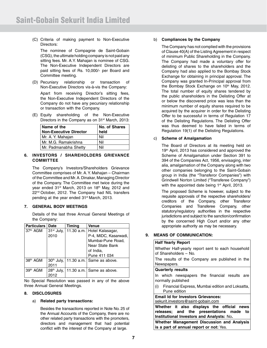(C) Criteria of making payment to Non-Executive Directors:

 The nominee of Compagnie de Saint-Gobain (CSG), the ultimate holding company is not paid any sitting fees. Mr. A.Y. Mahajan is nominee of CSG. The Non-Executive Independent Directors are paid sitting fees of Rs. 10,000/- per Board and Committee meeting.

- (D) Pecuniary relationship or transaction of Non-Executive Directors vis-à-vis the Company: Apart from receiving Director's sitting fees, the Non-Executive Independent Directors of the Company do not have any pecuniary relationship or transaction with the Company.
- (E) Equity shareholding of the Non-Executive Directors in the Company as on 31<sup>st</sup> March, 2013:

| Name of the                   | No. of Shares |
|-------------------------------|---------------|
| <b>Non-Executive Director</b> | held          |
| Mr. A. Y. Mahajan             | Nil           |
| Mr. M.G. Ramakrishna          | Nil           |
| Mr. Padmanabha Shetty         | Nil           |

#### **6. INVESTORS / SHAREHOLDERS GRIEVANCE COMMITTEE**

 The Company's Investors/Shareholders Grievance Committee comprises of Mr. A. Y. Mahajan – Chairman of the Committee and Mr. A. Dinakar, Managing Director of the Company. The Committee met twice during the year ended 31<sup>st</sup> March, 2013 on 18<sup>th</sup> May, 2012 and 22<sup>nd</sup> October, 2012. The Company had NIL transfers pending at the year ended 31<sup>st</sup> March, 2013.

#### **7. GENERAL BODY MEETINGS**

 Details of the last three Annual General Meetings of the Company:

| <b>Particulars</b>   | ∣ Date                 | <b>Timing</b> | Venue                         |
|----------------------|------------------------|---------------|-------------------------------|
| 37 <sup>th</sup> AGM | $31st$ July,           |               | 11.30 a.m.   Hotel Kalasagar, |
|                      | 2010                   |               | P-4, MIDC, Kasarwadi,         |
|                      |                        |               | Mumbai-Pune Road,             |
|                      |                        |               | Near State Bank               |
|                      |                        |               | of India,                     |
|                      |                        |               | Pune 411 034                  |
| 38 <sup>th</sup> AGM | $30th$ July,           |               | $ 11.30$ a.m. Same as above.  |
|                      | 2011                   |               |                               |
| 39 <sup>th</sup> AGM | 28 <sup>th</sup> July, |               | 11.30 a.m.   Same as above.   |
|                      | 2012                   |               |                               |

No Special Resolution was passed in any of the above three Annual General Meetings.

#### **8. DISCLOSURES**

#### a) **Related party transactions:**

Besides the transactions reported in Note No. 25 of the Annual Accounts of the Company, there are no other related party transactions with the promoters, directors and management that had potential conflict with the interest of the Company at large.

#### b) **Compliances by the Company**

The Company has not complied with the provisions of Clause 40(A) of the Listing Agreement in respect of minimum Public Shareholding in the Company. The Company had made a voluntary offer for delisting of shares to the shareholders and the Company had also applied to the Bombay Stock Exchange for obtaining in principal approval. The Company was granted In-Principal approval from the Bombay Stock Exchange on 10<sup>th</sup> May, 2012. The total number of equity shares tendered by the public shareholders in the Delisting Offer at or below the discovered price was less than the minimum number of equity shares required to be acquired by the acquirer in order for the Delisting Offer to be successful in terms of Regulation 17 of the Delisting Regulations. The Delisting Offer was thus deemed to have failed in terms of Regulation 19(1) of the Delisting Regulations.

#### c) **Scheme of Amalgamation**

 The Board of Directors at its meeting held on 19<sup>th</sup> April, 2013 has considered and approved the Scheme of Amalgamation under Section 391 to 394 of the Companies Act, 1956, envisaging, inter alia, amalgamation of the Company along with two other companies belonging to the Saint-Gobain group in India (the "Transferor Companies") with Grindwell Norton Limited ("Transferee Company") with the appointed date being 1<sup>st</sup> April, 2013.

 The proposed Scheme is however, subject to the requisite approvals of the respective shareholders/ creditors of the Company, other Transferor Companies and Transferee Company, other statutory/regulatory authorities in the respective jurisdictions and subject to the sanction/confirmation by the concerned High Court and/or any other appropriate authority as may be necessary.

#### **9. MEANS OF COMMUNICATION:**

#### **Half Yearly Report**

| Whether Half-yearly report sent to each household<br>of Shareholders – No.      |
|---------------------------------------------------------------------------------|
| The results of the Company are published in the<br>Newspapers.                  |
| <b>Quarterly results</b>                                                        |
| In which newspapers the financial results are<br>normally published             |
| (i) Financial Express, Mumbai edition and Loksatta,<br>Pune edition             |
| <b>Email Id for Investors Grievances:</b><br>sekurit.investors@saint-gobain.com |
| Whether it also displays the official news                                      |
| releases; and the presentations made to                                         |
| Institutional Investors and Analysts: No.                                       |
| Whether Management Discussion and Analysis                                      |
| is a part of annual report or not: Yes.                                         |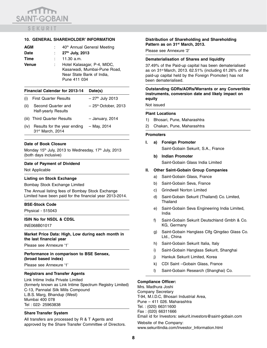## $\sqrt{10}$ **SAINT-GOBAIN SEKURIT**

#### **10. GENERAL SHAREHOLDER' INFORMATION**

| AGM          | 40 <sup>th</sup> Annual General Meeting                                                                  |
|--------------|----------------------------------------------------------------------------------------------------------|
| <b>Date</b>  | : $27th$ July, 2013                                                                                      |
| Time         | $11.30$ a.m.                                                                                             |
| <b>Venue</b> | Hotel Kalasagar, P-4, MIDC,<br>Kasarwadi, Mumbai-Pune Road,<br>Near State Bank of India,<br>Pune 411 034 |

#### **Financial Calendar for 2013-14 Date(s)**

| (i)  | <b>First Quarter Results</b>                     | $-27th$ July 2013                 |
|------|--------------------------------------------------|-----------------------------------|
| (ii) | Second Quarter and<br><b>Half-yearly Results</b> | $-25$ <sup>th</sup> October, 2013 |
|      | (iii) Third Quarter Results                      | - January, 2014                   |
| (iv) | Results for the year ending<br>31st March, 2014  | - May, 2014                       |

#### **Date of Book Closure**

Monday 15<sup>th</sup> July, 2013 to Wednesday, 17<sup>th</sup> July, 2013 (both days inclusive)

#### **Date of Payment of Dividend**

Not Applicable

#### **Listing on Stock Exchange**

Bombay Stock Exchange Limited

The Annual listing fees of Bombay Stock Exchange Limited have been paid for the financial year 2013-2014.

#### **BSE-Stock Code**

Physical - 515043

#### **ISIN No for NSDL & CDSL**

INE068B01017

**Market Price Data: High, Low during each month in the last financial year** 

Please see Annexure '1'

**Performance in comparison to BSE Sensex, (broad based index)**

Please see Annexure '1'

#### **Registrars and Transfer Agents**

Link Intime India Private Limited (formerly known as Link Intime Spectrum Registry Limited) C-13, Pannalal Silk Mills Compound L.B.S. Marg, Bhandup (West) Mumbai 400 078 Tel : 022- 25963838

#### **Share Transfer System**

All transfers are processed by R & T Agents and approved by the Share Transfer Committee of Directors.

#### **Distribution of Shareholding and Shareholding Pattern as on 31st March, 2013.**

Please see Annexure '2'

#### **Dematerialisation of Shares and liquidity**

37.49% of the Paid-up capital has been dematerialised as on 31st March, 2013. 62.51% (including 61.26% of the paid-up capital held by the Foreign Promoter) has not been dematerialised.

#### **Outstanding GDRs/ADRs/Warrants or any Convertible instruments, conversion date and likely impact on equity**

Not issued

#### **Plant Locations**

- 1) Bhosari, Pune, Maharashtra
- 2) Chakan, Pune, Maharashtra

#### **Promoters**

**I. a) Foreign Promoter**

Saint-Gobain Sekurit, S.A., France

**b) Indian Promoter** Saint-Gobain Glass India Limited

#### **II. Other Saint-Gobain Group Companies**

- a) Saint-Gobain Glass, France
- b) Saint-Gobain Seva, France
- c) Grindwell Norton Limited
- d) Saint-Gobain Sekurit (Thailand) Co. Limited, **Thailand**
- e) Saint-Gobain Seva Engineering India Limited, India
- f) Saint-Gobain Sekurit Deutschland Gmbh & Co. KG, Germany
- g) Saint-Gobain Hanglass Clfg Qingdao Glass Co. Ltd., China
- h) Saint-Gobain Sekurit Italia, Italy
- i) Saint-Gobain Hanglass Sekurit, Shanghai
- j) Hankuk Sekurit Limited, Korea
- k) CDI Saint –Gobain Glass, France
- l) Saint-Gobain Research (Shanghai) Co.

#### **Compliance Officer:**

Mrs. Madhura Joshi Company Secretary T-94, M.I.D.C, Bhosari Industrial Area, Pune – 411 026. Maharashtra Tel. : (020) 66311600 Fax : (020) 66311666 Email id for Investors: sekurit.investors@saint-gobain.com Website of the Company: www.sekuritindia.com/Investor\_Information.html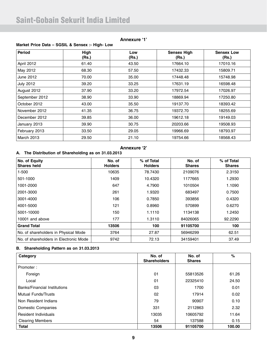### **Annexure '1'**

### **Market Price Data – SGSIL & Sensex :- High- Low**

| Period            | High<br>(Rs.) | Low<br>(Rs.) | <b>Sensex High</b><br>(Rs.) | <b>Sensex Low</b><br>(Rs.) |
|-------------------|---------------|--------------|-----------------------------|----------------------------|
| April 2012        | 61.40         | 43.50        | 17664.10                    | 17010.16                   |
| May 2012          | 68.30         | 57.50        | 17432.33                    | 15809.71                   |
| June 2012         | 70.00         | 35.00        | 17448.48                    | 15748.98                   |
| <b>July 2012</b>  | 39.20         | 33.25        | 17631.19                    | 16598.48                   |
| August 2012       | 37.90         | 33.20        | 17972.54                    | 17026.97                   |
| September 2012    | 38.90         | 33.90        | 18869.94                    | 17250.80                   |
| October 2012      | 43.00         | 35.50        | 19137.70                    | 18393.42                   |
| November 2012     | 41.35         | 36.75        | 19372.70                    | 18255.69                   |
| December 2012     | 39.85         | 36.00        | 19612.18                    | 19149.03                   |
| January 2013      | 39.90         | 30.75        | 20203.66                    | 19508.93                   |
| February 2013     | 33.50         | 29.05        | 19966.69                    | 18793.97                   |
| <b>March 2013</b> | 29.50         | 21.10        | 19754.66                    | 18568.43                   |

### **Annexure '2'**

### **A. The Distribution of Shareholding as on 31.03.2013**

| No. of Equity<br><b>Shares held</b>    | No. of<br><b>Holders</b> | % of Total<br><b>Holders</b> | No. of<br><b>Shares</b> | % of Total<br><b>Shares</b> |
|----------------------------------------|--------------------------|------------------------------|-------------------------|-----------------------------|
| $1 - 500$                              | 10635                    | 78.7430                      | 2109076                 | 2.3150                      |
| 501-1000                               | 1409                     | 10.4320                      | 1177665                 | 1.2930                      |
| 1001-2000                              | 647                      | 4.7900                       | 1010504                 | 1.1090                      |
| 2001-3000                              | 261                      | 1.9320                       | 683497                  | 0.7500                      |
| 3001-4000                              | 106                      | 0.7850                       | 393856                  | 0.4320                      |
| 4001-5000                              | 121                      | 0.8960                       | 570899                  | 0.6270                      |
| 5001-10000                             | 150                      | 1.1110                       | 1134138                 | 1.2450                      |
| 10001 and above                        | 177                      | 1.3110                       | 84026065                | 92.2290                     |
| <b>Grand Total</b>                     | 13506                    | 100                          | 91105700                | 100                         |
| No. of shareholders in Physical Mode   | 3764                     | 27.87                        | 56946299                | 62.51                       |
| No. of shareholders in Electronic Mode | 9742                     | 72.13                        | 34159401                | 37.49                       |

#### **B. Shareholding Pattern as on 31.03.2013**

| Category                            | No. of<br><b>Shareholders</b> | No. of<br><b>Shares</b> | %      |
|-------------------------------------|-------------------------------|-------------------------|--------|
| Promoter:                           |                               |                         |        |
| Foreign                             | 01                            | 55813526                | 61.26  |
| Local                               | 01                            | 22325410                | 24.50  |
| <b>Banks/Financial Institutions</b> | 03                            | 1700                    | 0.01   |
| <b>Mutual Funds/Trusts</b>          | 02                            | 17914                   | 0.02   |
| Non Resident Indians                | 79                            | 90907                   | 0.10   |
| Domestic Companies                  | 331                           | 2112863                 | 2.32   |
| Resident Individuals                | 13035                         | 10605792                | 11.64  |
| <b>Clearing Members</b>             | 54                            | 137588                  | 0.15   |
| <b>Total</b>                        | 13506                         | 91105700                | 100.00 |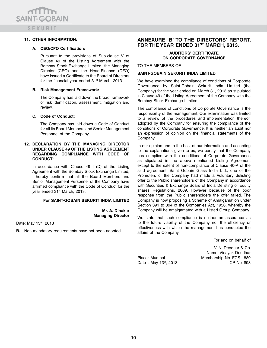mm **SAINT-GOBAIN** SEKURIT

#### **11. OTHER INFORMATION:**

#### **A. CEO/CFO Certification:**

 Pursuant to the provisions of Sub-clause V of Clause 49 of the Listing Agreement with the Bombay Stock Exchange Limited, the Managing Director (CEO) and the Head-Finance (CFO) have issued a Certificate to the Board of Directors for the financial year ended 31<sup>st</sup> March, 2013.

#### **B. Risk Management Framework:**

 The Company has laid down the broad framework of risk identification, assessment, mitigation and review.

#### **C. Code of Conduct:**

 The Company has laid down a Code of Conduct for all its Board Members and Senior Management Personnel of the Company.

#### **12. DECLARATION BY THE MANAGING DIRECTOR UNDER CLAUSE 49 OF THE LISTING AGREEMENT REGARDING COMPLIANCE WITH CODE OF CONDUCT:**

In accordance with Clause  $49$  I (D) of the Listing Agreement with the Bombay Stock Exchange Limited, I hereby confirm that all the Board Members and Senior Management Personnel of the Company have affirmed compliance with the Code of Conduct for the year ended 31<sup>st</sup> March, 2013.

#### **For SAINT-GOBAIN SEKURIT INDIA LIMITED**

**Mr. A. Dinakar Managing Director** 

Date: May 13th, 2013

**B.** Non-mandatory requirements have not been adopted.

#### **ANNEXURE 'B' TO THE DIRECTORS' REPORT,**  FOR THE YEAR ENDED 31<sup>ST</sup> MARCH, 2013.

#### **AUDITORS' CERTIFICATE ON CORPORATE GOVERNANCE**

TO THE MEMBERS OF

#### **SAINT-GOBAIN SEKURIT INDIA LIMITED**

We have examined the compliance of conditions of Corporate Governance by Saint-Gobain Sekurit India Limited (the Company) for the year ended on March 31, 2013 as stipulated in Clause 49 of the Listing Agreement of the Company with the Bombay Stock Exchange Limited.

The compliance of conditions of Corporate Governance is the responsibility of the management. Our examination was limited to a review of the procedures and implementation thereof, adopted by the Company for ensuring the compliance of the conditions of Corporate Governance. It is neither an audit nor an expression of opinion on the financial statements of the Company.

In our opinion and to the best of our information and according to the explanations given to us, we certify that the Company has complied with the conditions of Corporate Governance as stipulated in the above mentioned Listing Agreement except to the extent of non-compliance of Clause 40-A of the said agreement. Saint Gobain Glass India Ltd., one of the Promoters of the Company had made a Voluntary delisting offer to the Public shareholders of the Company in accordance with Securities & Exchange Board of India Delisting of Equity shares Regulations, 2009. However because of the poor response from the Public shareholders the offer failed. The Company is now proposing a Scheme of Amalgamation under Section 391 to 394 of the Companies Act, 1956, whereby the Company will be amalgamated with a Listed Group Company.

We state that such compliance is neither an assurance as to the future viability of the Company nor the efficiency or effectiveness with which the management has conducted the affairs of the Company.

For and on behalf of

V. N. Deodhar & Co. Name: Vinayak Deodhar Place : Mumbai Membership No. FCS 1880 Date : May 13<sup>th</sup>, 2013 CP No. 898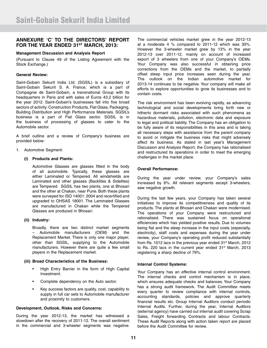#### **ANNEXURE 'C' TO THE DIRECTORS' REPORT**  FOR THE YEAR ENDED 31<sup>ST</sup> MARCH, 2013:

#### **Management Discussion and Analysis Report**

(Pursuant to Clause 49 of the Listing Agreement with the Stock Exchange.)

#### **General Review:**

Saint-Gobain Sekurit India Ltd. (SGSIL) is a subsidiary of Saint-Gobain Sekurit S. A. France, which is a part of Compagnie de Saint-Gobain, a transnational Group with its headquarters in Paris and with sales of Euros 43.2 billion for the year 2012. Saint-Gobain's businesses fall into five broad sectors of activity: Construction Products, Flat Glass, Packaging, Building Distribution and High Performance Materials. SGSIL's business is a part of Flat Glass sector. SGSIL is in the business of processing of glasses to cater to the Automobile sector.

A brief outline and a review of Company's business are provided below:

1. Automotive Segment:

#### **(i) Products and Plants:**

 Automotive Glasses are glasses fitted in the body of all automobile. Typically, these glasses are either Laminated or Tempered. All windshields are Laminated and other glasses (Backlites & Sidelites) are Tempered. SGSIL has two plants, one at Bhosari and the other at Chakan, near Pune. Both these plants were surveyed for ISO 14001: 2004 and recertified and upgraded to OHSAS 18001. The Laminated Glasses are manufactured in Chakan while the Tempered Glasses are produced in Bhosari.

#### **(ii) Industry:**

 Broadly, there are two distinct market segments – Automobile manufacturers (OEM) and the Replacement Market. There is only one major player, other than SGSIL, supplying to the Automobile manufacturers. However there are quite a few small players in the Replacement market.

#### **(iii) Broad Characteristics of the Business:**

- High Entry Barrier in the form of High Capital Investment.
- Complete dependency on the Auto sector.
- Key success factors are quality, cost, capability to supply in full car sets to Automobile manufacturer and proximity to customers.

#### **Development, Outlook, Risks and Concerns:**

During the year 2012-13, the market has witnessed a slowdown after the recovery of 2011-12. The overall sentiment in the commercial and 3-wheeler segments was negative.

The commercial vehicles market grew in the year 2012-13 at a moderate 4 % compared to 2011-12 which was 30%. However the 3-wheeler market grew by 13% in the year 2012-13 over 2011-12, mainly on account of increased export of 3 wheelers from one of your Company's OEMs. Your Company was also successful in obtaining price corrections from the OEMs and the market, to partially offset steep input price increases seen during the year. The outlook on the Indian automotive market for 2013-14 continues to be negative. Your company will make all efforts to explore opportunities to grow its businesses and to contain costs.

The risk environment has been evolving rapidly, as advancing technological and social developments bring forth new or hitherto dormant risks associated with such phenomena as hazardous materials, pollution, electronic data and exposure to legal and political liability. The Company has an obligation to be fully aware of its responsibilities in this area and is taking all necessary steps with assistance from the parent company to avoid or mitigate the business risks that might adversely affect its business. As stated in last year's Management Discussion and Analysis Report, the Company has rationalised and restructured its operations in order to meet the emerging challenges in the market place.

#### **Overall Performance:**

During the year under review, your Company's sales increased by 6%. All relevant segments except 3-wheelers, saw negative growth.

During the last few years, your Company has taken several initiatives to improve its competitiveness and quality of its products. The plants at Bhosari and Chakan were modernised. The operations of your Company were restructured and rationalised. There was sustained focus on operational efficiencies which has yielded positive results. Due to volumes being flat and the steep increase in the input costs (especially, electricity), staff costs and expenses during the year under review, your Company's operating profit reduced substantially from Rs. 1012 lacs in the previous year ended 31<sup>st</sup> March, 2012 to Rs. 220 lacs in the current year ended 31<sup>st</sup> March, 2013 registering a sharp decline of 79%.

#### **Internal Control Systems:**

Your Company has an effective internal control environment. The internal checks and control mechanism is in place, which ensures adequate checks and balances. Your Company has a strong audit framework. The Audit Committee meets every quarter to review compliance with internal controls, accounting standards, policies and approve quarterly financial results etc. Group Internal Auditors conduct periodic Internal Audits. Further, during the year, Internal Auditors (external agency) have carried out internal audit covering Scrap Sales, Freight forwarding Contracts and labour Contracts. These Audit Reports along with action taken report are placed before the Audit Committee for review.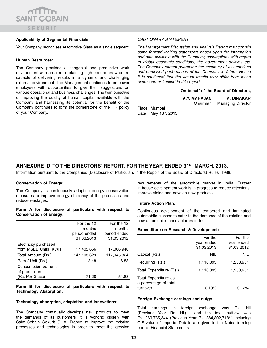## $\sqrt{10}$ **SAINT-GOBAIN** SEKURIT

#### **Applicability of Segmental Financials:**

Your Company recognises Automotive Glass as a single segment.

#### **Human Resources:**

The Company provides a congenial and productive work environment with an aim to retaining high performers who are capable of delivering results in a dynamic and challenging external environment. The Management continues to empower employees with opportunities to give their suggestions on various operational and business challenges. The twin objective of improving the quality of human capital available with the Company and harnessing its potential for the benefit of the Company continues to form the cornerstone of the HR policy of your Company.

#### *CAUTIONARY STATEMENT:*

*The Management Discussion and Analysis Report may contain some forward looking statements based upon the information and data available with the Company, assumptions with regard to global economic conditions, the government policies etc. The Company cannot guarantee the accuracy of assumptions and perceived performance of the Company in future. Hence it is cautioned that the actual results may differ from those expressed or implied in this report.*

#### **On behalf of the Board of Directors,**

| A.Y. MAHAJAN | A. DINAKAR               |
|--------------|--------------------------|
| Chairman     | <b>Managing Director</b> |

Place : Mumbai Date: May 13<sup>th</sup>, 2013

### ANNEXURE 'D' TO THE DIRECTORS' REPORT, FOR THE YEAR ENDED 31<sup>ST</sup> MARCH, 2013.

Information pursuant to the Companies (Disclosure of Particulars in the Report of the Board of Directors) Rules, 1988.

#### **Conservation of Energy:**

The Company is continuously adopting energy conservation measures to improve energy efficiency of the processes and reduce wastages.

#### **Form A for disclosure of particulars with respect to Conservation of Energy:**

|                       | For the 12   | For the 12   |
|-----------------------|--------------|--------------|
|                       | months       | months       |
|                       | period ended | period ended |
|                       | 31.03.2013   | 31.03.2012   |
| Electricity purchased |              |              |
| from MSEB Units (KWH) | 17,405,666   | 17,006,940   |
| Total Amount (Rs.)    | 147,108,629  | 117,045,824  |
| Rate / Unit (Rs.)     | 8.48         | 6.88         |
| Consumption per unit  |              |              |
| of production         |              |              |
| (Rs. Per Glass)       | 71.28        | 54.88        |

**Form B for disclosure of particulars with respect to Technology Absorption:**

#### **Technology absorption, adaptation and innovations:**

The Company continually develops new products to meet the demands of its customers. It is working closely with Saint-Gobain Sekurit S. A. France to improve the existing processes and technologies in order to meet the growing requirements of the automobile market in India. Further in-house development work is in progress to reduce rejections, improve yields and develop new products.

#### **Future Action Plan:**

Continuous development of the tempered and laminated automobile glasses to cater to the demands of the existing and new automobile manufacturers in India.

#### **Expenditure on Research & Development:**

|                                               | For the    | For the    |
|-----------------------------------------------|------------|------------|
|                                               | year ended | year ended |
|                                               | 31.03.2013 | 31.03.2012 |
| Capital (Rs.)                                 | NIL        | NIL        |
| Recurring (Rs.)                               | 1,110,893  | 1,258,951  |
| Total Expenditure (Rs.)                       | 1,110,893  | 1,258,951  |
| Total Expenditure as<br>a percentage of total |            |            |
| turnover                                      | 0.10%      | $0.12\%$   |

#### **Foreign Exchange earnings and outgo:**

Total earnings in foreign exchange was Rs. Nil (Previous Year Rs. Nil) and the total outflow was Rs**.** 269,785,344 (Previous Year Rs. 384,802,718/-) including CIF value of Imports. Details are given in the Notes forming part of Financial Statements.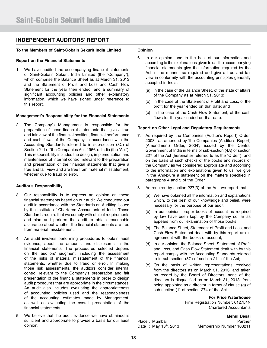### **INDEPENDENT AUDITORS' REPORT**

#### **To the Members of Saint-Gobain Sekurit India Limited**

#### **Report on the Financial Statements**

1. We have audited the accompanying financial statements of Saint-Gobain Sekurit India Limited (the "Company"), which comprise the Balance Sheet as at March 31, 2013 and the Statement of Profit and Loss and Cash Flow Statement for the year then ended, and a summary of significant accounting policies and other explanatory information, which we have signed under reference to this report.

#### **Management's Responsibility for the Financial Statements**

2. The Company's Management is responsible for the preparation of these financial statements that give a true and fair view of the financial position, financial performance and cash flows of the Company in accordance with the Accounting Standards referred to in sub-section (3C) of Section 211 of 'the Companies Act, 1956' of India (the "Act"). This responsibility includes the design, implementation and maintenance of internal control relevant to the preparation and presentation of the financial statements that give a true and fair view and are free from material misstatement, whether due to fraud or error.

#### **Auditor's Responsibility**

- 3. Our responsibility is to express an opinion on these financial statements based on our audit. We conducted our audit in accordance with the Standards on Auditing issued by the Institute of Chartered Accountants of India. Those Standards require that we comply with ethical requirements and plan and perform the audit to obtain reasonable assurance about whether the financial statements are free from material misstatement.
- 4. An audit involves performing procedures to obtain audit evidence, about the amounts and disclosures in the financial statements. The procedures selected depend on the auditors' judgment, including the assessment of the risks of material misstatement of the financial statements, whether due to fraud or error. In making those risk assessments, the auditors consider internal control relevant to the Company's preparation and fair presentation of the financial statements in order to design audit procedures that are appropriate in the circumstances. An audit also includes evaluating the appropriateness of accounting policies used and the reasonableness of the accounting estimates made by Management, as well as evaluating the overall presentation of the financial statements.
- 5. We believe that the audit evidence we have obtained is sufficient and appropriate to provide a basis for our audit opinion.

#### **Opinion**

- 6. In our opinion, and to the best of our information and according to the explanations given to us, the accompanying financial statements give the information required by the Act in the manner so required and give a true and fair view in conformity with the accounting principles generally accepted in India:
	- (a) in the case of the Balance Sheet, of the state of affairs of the Company as at March 31, 2013;
	- (b) in the case of the Statement of Profit and Loss, of the profit for the year ended on that date; and
	- (c) in the case of the Cash Flow Statement, of the cash flows for the year ended on that date.

#### **Report on Other Legal and Regulatory Requirements**

- 7. As required by 'the Companies (Auditor's Report) Order, 2003', as amended by 'the Companies (Auditor's Report) (Amendment) Order, 2004', issued by the Central Government of India in terms of sub-section (4A) of section 227 of the Act (hereinafter referred to as the "Order"), and on the basis of such checks of the books and records of the Company as we considered appropriate and according to the information and explanations given to us, we give in the Annexure a statement on the matters specified in paragraphs 4 and 5 of the Order.
- 8. As required by section 227(3) of the Act, we report that:
	- (a) We have obtained all the information and explanations which, to the best of our knowledge and belief, were necessary for the purpose of our audit;
	- (b) In our opinion, proper books of account as required by law have been kept by the Company so far as appears from our examination of those books;
	- (c) The Balance Sheet, Statement of Profit and Loss, and Cash Flow Statement dealt with by this report are in agreement with the books of account;
	- (d) In our opinion, the Balance Sheet, Statement of Profit and Loss, and Cash Flow Statement dealt with by this report comply with the Accounting Standards referred to in sub-section (3C) of section 211 of the Act;
	- (e) On the basis of written representations received from the directors as on March 31, 2013, and taken on record by the Board of Directors, none of the directors is disqualified as on March 31, 2013, from being appointed as a director in terms of clause (g) of sub-section (1) of section 274 of the Act.

**For Price Waterhouse**

Firm Registration Number: 012754N Chartered Accountants

**Mehul Desai** Place : Mumbai **Partner** Date: May 13<sup>th</sup>, 2013 Membership Number 103211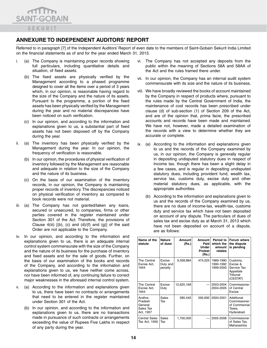

### **Annexure to Independent Auditors' Report**

Referred to in paragraph [7] of the Independent Auditors' Report of even date to the members of Saint-Gobain Sekurit India Limited on the financial statements as of and for the year ended March 31, 2013.

- i. (a) The Company is maintaining proper records showing full particulars, including quantitative details and situation, of fixed assets.
	- (b) The fixed assets are physically verified by the Management according to a phased programme designed to cover all the items over a period of 3 years which, in our opinion, is reasonable having regard to the size of the Company and the nature of its assets. Pursuant to the programme, a portion of the fixed assets has been physically verified by the Management during the year and no material discrepancies have been noticed on such verification.
	- (c) In our opinion, and according to the information and explanations given to us, a substantial part of fixed assets has not been disposed off by the Company during the year.
- ii. (a) The inventory has been physically verified by the Management during the year. In our opinion, the frequency of verification is reasonable.
	- (b) In our opinion, the procedures of physical verification of inventory followed by the Management are reasonable and adequate in relation to the size of the Company and the nature of its business.
	- (c) On the basis of our examination of the inventory records, in our opinion, the Company is maintaining proper records of inventory. The discrepancies noticed on physical verification of inventory as compared to book records were not material.
- iii. (a) The Company has not granted/taken any loans, secured or unsecured, to companies, firms or other parties covered in the register maintained under Section 301 of the Act. Therefore, the provisions of Clause  $4(iii)$   $[(b), (c)$  and  $(d)/(f)$  and  $(g)]$  of the said Order are not applicable to the Company.
- iv. In our opinion, and according to the information and explanations given to us, there is an adequate internal control system commensurate with the size of the Company and the nature of its business for the purchase of inventory and fixed assets and for the sale of goods. Further, on the basis of our examination of the books and records of the Company, and according to the information and explanations given to us, we have neither come across, nor have been informed of, any continuing failure to correct major weaknesses in the aforesaid internal control system.
- v. (a) According to the information and explanations given to us, there have been no contracts or arrangements that need to be entered in the register maintained under Section 301 of the Act.
	- (b) In our opinion, and according to the information and explanations given to us, there are no transactions made in pursuance of such contracts or arrangements exceeding the value of Rupees Five Lakhs in respect of any party during the year.
- vi. The Company has not accepted any deposits from the public within the meaning of Sections 58A and 58AA of the Act and the rules framed there under.
- vii. In our opinion, the Company has an internal audit system commensurate with its size and the nature of its business.
- viii. We have broadly reviewed the books of account maintained by the Company in respect of products where, pursuant to the rules made by the Central Government of India, the maintenance of cost records has been prescribed under clause (d) of sub-section (1) of Section 209 of the Act, and are of the opinion that, prima facie, the prescribed accounts and records have been made and maintained. We have not, however, made a detailed examination of the records with a view to determine whether they are accurate or complete.
- ix. (a) According to the information and explanations given to us and the records of the Company examined by us, in our opinion, the Company is generally regular in depositing undisputed statutory dues in respect of Income tax, though there has been a slight delay in a few cases, and is regular in depositing undisputed statutory dues, including provident fund, wealth tax, service tax, customs duty, excise duty and other material statutory dues, as applicable, with the appropriate authorities.
	- (b) According to the information and explanations given to us and the records of the Company examined by us, there are no dues of income-tax, wealth-tax, customs duty and service tax which have not been deposited on account of any dispute. The particulars of dues of sales tax and excise duty as at March 31, 2013 which have not been deposited on account of a dispute, are as follows:

| Name of the<br>statute                                 | <b>Nature</b><br>of dues      | Amount<br>(Rs.) | Amount<br>Paid<br><b>Under</b><br><b>Protest</b><br>(Rs.) | Period to<br>which the<br>amount<br>relates | Forum where<br>the dispute<br>is pending                                 |
|--------------------------------------------------------|-------------------------------|-----------------|-----------------------------------------------------------|---------------------------------------------|--------------------------------------------------------------------------|
| The Central<br>Excise Act,<br>1944                     | Excise<br>Duty and<br>penalty | 9,358,884       | 474,525                                                   | 1989-1990<br>1990-1992<br>1999-2000         | Customs,<br>Excise &<br>Service Tax<br>Appellate<br>Tribunal<br>(CESTAT) |
| The Central<br>Excise Act,<br>1944                     | Excise<br>Duty                | 12,620,169      |                                                           | 2003-2004<br>2004-2005                      | Commissioner<br>of Central<br>Excise                                     |
| Andhra<br>Pradesh<br>General<br>Sales Tax<br>Act, 1957 | Sales<br>Tax                  | 585,445         | 292,692                                                   | 2000-2001                                   | Additional<br>Commissioner<br>of Commercial<br>Taxes,<br>Hyderabad.      |
| <b>Central Sales</b><br>Tax Act, 1956                  | Sales<br>Tax                  | 1,700,000       |                                                           | 2005-2006                                   | Commissioner<br>of Sales Tax,<br>Maharashtra                             |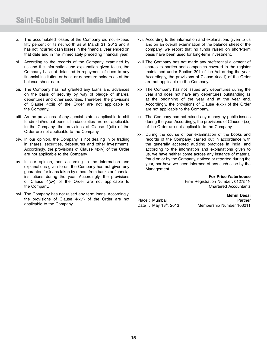- x. The accumulated losses of the Company did not exceed fifty percent of its net worth as at March 31, 2013 and it has not incurred cash losses in the financial year ended on that date and in the immediately preceding financial year.
- xi. According to the records of the Company examined by us and the information and explanation given to us, the Company has not defaulted in repayment of dues to any financial institution or bank or debenture holders as at the balance sheet date.
- xii. The Company has not granted any loans and advances on the basis of security by way of pledge of shares, debentures and other securities. Therefore, the provisions of Clause 4(xii) of the Order are not applicable to the Company.
- xiii. As the provisions of any special statute applicable to chit fund/nidhi/mutual benefit fund/societies are not applicable to the Company, the provisions of Clause 4(xiii) of the Order are not applicable to the Company.
- xiv. In our opinion, the Company is not dealing in or trading in shares, securities, debentures and other investments. Accordingly, the provisions of Clause 4(xiv) of the Order are not applicable to the Company.
- xv. In our opinion, and according to the information and explanations given to us, the Company has not given any guarantee for loans taken by others from banks or financial institutions during the year. Accordingly, the provisions of Clause 4(xv) of the Order are not applicable to the Company.
- xvi. The Company has not raised any term loans. Accordingly, the provisions of Clause 4(xvi) of the Order are not applicable to the Company.
- xvii. According to the information and explanations given to us and on an overall examination of the balance sheet of the company, we report that no funds raised on short-term basis have been used for long-term investment.
- xviii.The Company has not made any preferential allotment of shares to parties and companies covered in the register maintained under Section 301 of the Act during the year. Accordingly, the provisions of Clause 4(xviii) of the Order are not applicable to the Company.
- xix. The Company has not issued any debentures during the year and does not have any debentures outstanding as at the beginning of the year and at the year end. Accordingly, the provisions of Clause 4(xix) of the Order are not applicable to the Company.
- xx. The Company has not raised any money by public issues during the year. Accordingly, the provisions of Clause 4(xx) of the Order are not applicable to the Company.
- xxi. During the course of our examination of the books and records of the Company, carried out in accordance with the generally accepted auditing practices in India, and according to the information and explanations given to us, we have neither come across any instance of material fraud on or by the Company, noticed or reported during the year, nor have we been informed of any such case by the Management.

**For Price Waterhouse**

Firm Registration Number: 012754N Chartered Accountants

**Mehul Desai** Place : Mumbai **Place** : Mumbai **Partner** Date: May 13<sup>th</sup>, 2013 Membership Number 103211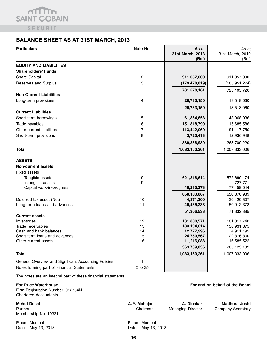

### **BALANCE SHEET AS AT 31ST MARCH, 2013**

| <b>Particulars</b>                                      | Note No. | As at<br>31st March, 2013<br>(Rs.) | As at<br>31st March, 2012<br>(Rs.) |
|---------------------------------------------------------|----------|------------------------------------|------------------------------------|
| <b>EQUITY AND LIABILITIES</b>                           |          |                                    |                                    |
| <b>Shareholders' Funds</b>                              |          |                                    |                                    |
| Share Capital                                           | 2        | 911,057,000                        | 911,057,000                        |
| Reserves and Surplus                                    | 3        | (179, 478, 819)                    | (185, 951, 274)                    |
|                                                         |          | 731,578,181                        | 725,105,726                        |
| <b>Non-Current Liabilities</b>                          |          |                                    |                                    |
| Long-term provisions                                    | 4        | 20,733,150                         | 18,518,060                         |
|                                                         |          | 20,733,150                         | 18,518,060                         |
| <b>Current Liabilities</b>                              |          |                                    |                                    |
| Short-term borrowings                                   | 5        | 61,854,658                         | 43,968,936                         |
| Trade payables                                          | 6        | 151,818,799                        | 115,685,586                        |
| Other current liabilities                               | 7        | 113,442,060                        | 91,117,750                         |
| Short-term provisions                                   | 8        | 3,723,413                          | 12,936,948                         |
|                                                         |          | 330,838,930                        | 263,709,220                        |
| Total                                                   |          | 1,083,150,261                      | 1,007,333,006                      |
| <b>ASSETS</b>                                           |          |                                    |                                    |
| <b>Non-current assets</b>                               |          |                                    |                                    |
| <b>Fixed assets</b>                                     |          |                                    |                                    |
| Tangible assets                                         | 9        | 621,818,614                        | 572,690,174                        |
| Intangible assets                                       | 9        |                                    | 727,771                            |
| Capital work-in-progress                                |          | 46,285,273                         | 77,459,044                         |
|                                                         |          | 668,103,887                        | 650,876,989                        |
| Deferred tax asset (Net)                                | 10       | 4,871,300                          | 20,420,507                         |
| Long term loans and advances                            | 11       | 46,435,238                         | 50,912,378                         |
|                                                         |          | 51,306,538                         | 71,332,885                         |
| <b>Current assets</b>                                   |          |                                    |                                    |
| Inventories                                             | 12       | 131,800,571                        | 101,817,740                        |
| Trade receivables                                       | 13       | 183,194,614                        | 138,931,875                        |
| Cash and bank balances<br>Short-term loans and advances | 14<br>15 | 12,777,996<br>24,750,567           | 4,911,195<br>22,876,800            |
| Other current assets                                    | 16       | 11,216,088                         | 16,585,522                         |
|                                                         |          | 363,739,836                        | 285,123,132                        |
| <b>Total</b>                                            |          | 1,083,150,261                      | 1,007,333,006                      |
|                                                         |          |                                    |                                    |
| General Overview and Significant Accounting Policies    | 1        |                                    |                                    |
| Notes forming part of Financial Statements              | 2 to 35  |                                    |                                    |

The notes are an integral part of these financial statements

#### **For Price Waterhouse For and on behalf of the Board** Firm Registration Number: 012754N Chartered Accountants

**Mehul Desai A. Y. Mahajan A. Dinakar Madhura Joshi**  Partner **Chairman** Managing Director Company Secretary Membership No: 103211

Place : Mumbai **Place : Mumbai Place : Mumbai** Date : May 13, 2013 Date : May 13, 2013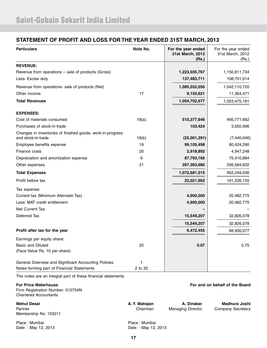### **STATEMENT OF PROFIT AND LOSS FOR THE YEAR ENDED 31ST MARCH, 2013**

| <b>Particulars</b>                                                                                         | Note No. | For the year ended<br>31st March, 2013<br>(Rs.) | For the year ended<br>31st March, 2012<br>(Rs.) |
|------------------------------------------------------------------------------------------------------------|----------|-------------------------------------------------|-------------------------------------------------|
| <b>REVENUE:</b>                                                                                            |          |                                                 |                                                 |
| Revenue from operations – sale of products (Gross)                                                         |          | 1,223,035,767                                   | 1,150,811,734                                   |
| Less: Excise duty                                                                                          |          | 137,483,711                                     | 108,701,014                                     |
| Revenue from operations- sale of products (Net)                                                            |          | 1,085,552,056                                   | 1,042,110,720                                   |
| Other income                                                                                               | 17       | 9,150,621                                       | 11,364,471                                      |
| <b>Total Revenues</b>                                                                                      |          | 1,094,702,677                                   | 1,053,475,191                                   |
| <b>EXPENSES:</b>                                                                                           |          |                                                 |                                                 |
| Cost of materials consumed                                                                                 | 18(a)    | 510,377,646                                     | 495,771,662                                     |
| Purchases of stock-in-trade                                                                                |          | 103,424                                         | 3,550,996                                       |
| Changes in inventories of finished goods, work-in-progress<br>and stock-in-trade                           | 18(b)    | (25,001,291)                                    |                                                 |
| Employee benefits expense                                                                                  | 19       | 99,105,498                                      | (7,440,646)<br>80,424,290                       |
| Finance costs                                                                                              | 20       | 2,918,892                                       | 4,947,248                                       |
| Depreciation and amortization expense                                                                      | 9        | 87,793,166                                      | 75,410,884                                      |
| Other expenses                                                                                             | 21       | 397,383,680                                     | 299,584,602                                     |
| <b>Total Expenses</b>                                                                                      |          | 1,072,681,015                                   | 952,249,036                                     |
| Profit before tax                                                                                          |          | 22,021,662                                      | 101,226,155                                     |
| Tax expense:                                                                                               |          |                                                 |                                                 |
| Current tax (Minimum Alternate Tax)                                                                        |          | 4,900,000                                       | 20,482,775                                      |
| Less: MAT credit entitlement                                                                               |          | 4,900,000                                       | 20,482,775                                      |
| Net Current Tax                                                                                            |          |                                                 |                                                 |
| Deferred Tax                                                                                               |          | 15,549,207                                      | 32,826,078                                      |
|                                                                                                            |          | 15,549,207                                      | 32,826,078                                      |
| Profit after tax for the year                                                                              |          | 6,472,455                                       | 68,400,077                                      |
| Earnings per equity share:                                                                                 |          |                                                 |                                                 |
| <b>Basic and Diluted</b><br>(Face Value Rs. 10 per share)                                                  | 25       | 0.07                                            | 0.75                                            |
| General Overview and Significant Accounting Policies                                                       | 1        |                                                 |                                                 |
| Notes forming part of Financial Statements<br>The notes are an integral part of these financial statements | 2 to 35  |                                                 |                                                 |

| <b>For Price Waterhouse</b><br>Firm Registration Number: 012754N<br><b>Chartered Accountants</b> |                                     |                                        | For and on behalf of the Board     |
|--------------------------------------------------------------------------------------------------|-------------------------------------|----------------------------------------|------------------------------------|
| <b>Mehul Desai</b><br>Partner<br>Membership No: 103211                                           | A. Y. Mahajan<br>Chairman           | A. Dinakar<br><b>Managing Director</b> | Madhura Joshi<br>Company Secretary |
| Place: Mumbai<br>Date: May 13, 2013                                                              | Place: Mumbai<br>Date: May 13, 2013 |                                        |                                    |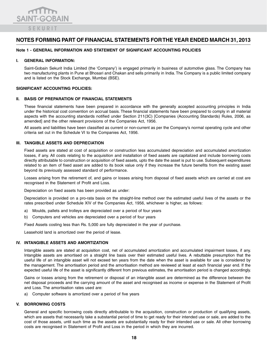

#### **Note 1 - GENERAL INFORMATION AND STATEMENT OF SIGNIFICANT ACCOUNTING POLICIES**

#### **I. GENERAL INFORMATION:**

Saint-Gobain Sekurit India Limited (the 'Company') is engaged primarily in business of automotive glass. The Company has two manufacturing plants in Pune at Bhosari and Chakan and sells primarily in India. The Company is a public limited company and is listed on the Stock Exchange, Mumbai (BSE).

#### **SIGNIFICANT ACCOUNTING POLICIES:**

#### **ii. BASIS OF PREPARATION OF FINANCIAL STATEMENTS**

These financial statements have been prepared in accordance with the generally accepted accounting principles in India under the historical cost convention on accrual basis. These financial statements have been prepared to comply in all material aspects with the accounting standards notified under Section 211(3C) [Companies (Accounting Standards) Rules, 2006, as amended] and the other relevant provisions of the Companies Act, 1956.

All assets and liabilities have been classified as current or non-current as per the Company's normal operating cycle and other criteria set out in the Schedule VI to the Companies Act, 1956.

#### **iii. TANGIBLE ASSETS AND DEPRECIATION**

Fixed assets are stated at cost of acquisition or construction less accumulated depreciation and accumulated amortization losses, if any. All costs relating to the acquisition and installation of fixed assets are capitalized and include borrowing costs directly attributable to construction or acquisition of fixed assets, upto the date the asset is put to use. Subsequent expenditures related to an item of fixed asset are added to its book value only if they increase the future benefits from the existing asset beyond its previously assessed standard of performance.

Losses arising from the retirement of, and gains or losses arising from disposal of fixed assets which are carried at cost are recognised in the Statement of Profit and Loss.

Depreciation on fixed assets has been provided as under:

Depreciation is provided on a pro-rata basis on the straight-line method over the estimated useful lives of the assets or the rates prescribed under Schedule XIV of the Companies Act, 1956, whichever is higher, as follows:

- a) Moulds, pallets and trolleys are depreciated over a period of four years
- b) Computers and vehicles are depreciated over a period of four years

Fixed Assets costing less than Rs. 5,000 are fully depreciated in the year of purchase.

Leasehold land is amortized over the period of lease.

#### **iv. INTANGIBLE ASSETS AND AMORTIZATION**

Intangible assets are stated at acquisition cost, net of accumulated amortization and accumulated impairment losses, if any. Intangible assets are amortised on a straight line basis over their estimated useful lives. A rebuttable presumption that the useful life of an intangible asset will not exceed ten years from the date when the asset is available for use is considered by the management. The amortisation period and the amortisation method are reviewed at least at each financial year end. If the expected useful life of the asset is significantly different from previous estimates, the amortisation period is changed accordingly.

Gains or losses arising from the retirement or disposal of an intangible asset are determined as the difference between the net disposal proceeds and the carrying amount of the asset and recognised as income or expense in the Statement of Profit and Loss. The amortisation rates used are:

a) Computer software is amortized over a period of five years

#### **v. BORROWING COSTS**

General and specific borrowing costs directly attributable to the acquisition, construction or production of qualifying assets, which are assets that necessarily take a substantial period of time to get ready for their intended use or sale, are added to the cost of those assets, until such time as the assets are substantially ready for their intended use or sale. All other borrowing costs are recognised in Statement of Profit and Loss in the period in which they are incurred.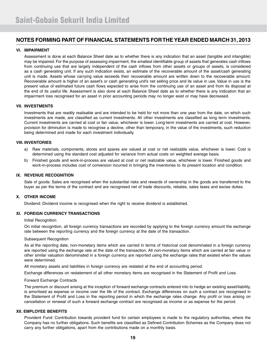#### **vi. IMPAIRMENT**

Assessment is done at each Balance Sheet date as to whether there is any indication that an asset (tangible and intangible) may be impaired. For the purpose of assessing impairment, the smallest identifiable group of assets that generates cash inflows from continuing use that are largely independent of the cash inflows from other assets or groups of assets, is considered as a cash generating unit. If any such indication exists, an estimate of the recoverable amount of the asset/cash generating unit is made. Assets whose carrying value exceeds their recoverable amount are written down to the recoverable amount. Recoverable amount is higher of an asset's or cash generating unit's net selling price and its value in use. Value in use is the present value of estimated future cash flows expected to arise from the continuing use of an asset and from its disposal at the end of its useful life. Assessment is also done at each Balance Sheet date as to whether there is any indication that an impairment loss recognised for an asset in prior accounting periods may no longer exist or may have decreased.

#### **vii. INVESTMENTS**

Investments that are readily realisable and are intended to be held for not more than one year from the date, on which such investments are made, are classified as current investments. All other investments are classified as long term investments. Current investments are carried at cost or fair value, whichever is lower. Long-term investments are carried at cost. However, provision for diminution is made to recognise a decline, other than temporary, in the value of the investments, such reduction being determined and made for each investment individually.

#### **viii. INVENTORIES**

- a) Raw materials, components, stores and spares are valued at cost or net realizable value, whichever is lower. Cost is determined using the standard cost adjusted for variance from actual costs on weighted average basis.
- b) Finished goods and work-in-process are valued at cost or net realizable value, whichever is lower. Finished goods and work-in-process includes cost of conversion incurred in bringing the inventories to its present location and condition.

#### **ix. REVENUE RECOGNITION**

Sale of goods: Sales are recognised when the substantial risks and rewards of ownership in the goods are transferred to the buyer as per the terms of the contract and are recognised net of trade discounts, rebates, sales taxes and excise duties.

#### **x. OTHER INCOME**

Dividend: Dividend income is recognised when the right to receive dividend is established.

#### **xi. FOREIGN CURRENCY TRANSACTIONS**

#### Initial Recognition

On initial recognition, all foreign currency transactions are recorded by applying to the foreign currency amount the exchange rate between the reporting currency and the foreign currency at the date of the transaction.

#### Subsequent Recognition

As at the reporting date, non-monetary items which are carried in terms of historical cost denominated in a foreign currency are reported using the exchange rate at the date of the transaction. All non-monetary items which are carried at fair value or other similar valuation denominated in a foreign currency are reported using the exchange rates that existed when the values were determined.

All monetary assets and liabilities in foreign currency are restated at the end of accounting period.

Exchange differences on restatement of all other monetary items are recognised in the Statement of Profit and Loss.

#### Forward Exchange Contracts

The premium or discount arising at the inception of forward exchange contracts entered into to hedge an existing asset/liability, is amortised as expense or income over the life of the contract. Exchange differences on such a contract are recognised in the Statement of Profit and Loss in the reporting period in which the exchange rates change. Any profit or loss arising on cancellation or renewal of such a forward exchange contract are recognised as income or as expense for the period.

#### **xii. EMPLOYEE BENEFITS**

Provident Fund: Contribution towards provident fund for certain employees is made to the regulatory authorities, where the Company has no further obligations. Such benefits are classified as Defined Contribution Schemes as the Company does not carry any further obligations, apart from the contributions made on a monthly basis.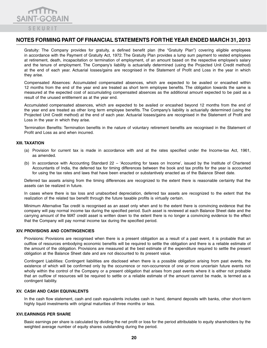

Gratuity: The Company provides for gratuity, a defined benefit plan (the "Gratuity Plan") covering eligible employees in accordance with the Payment of Gratuity Act, 1972. The Gratuity Plan provides a lump sum payment to vested employees at retirement, death, incapacitation or termination of employment, of an amount based on the respective employee's salary and the tenure of employment. The Company's liability is actuarially determined (using the Projected Unit Credit method) at the end of each year. Actuarial losses/gains are recognised in the Statement of Profit and Loss in the year in which they arise.

Compensated Absences: Accumulated compensated absences, which are expected to be availed or encashed within 12 months from the end of the year end are treated as short term employee benefits. The obligation towards the same is measured at the expected cost of accumulating compensated absences as the additional amount expected to be paid as a result of the unused entitlement as at the year end.

Accumulated compensated absences, which are expected to be availed or encashed beyond 12 months from the end of the year end are treated as other long term employee benefits. The Company's liability is actuarially determined (using the Projected Unit Credit method) at the end of each year. Actuarial losses/gains are recognised in the Statement of Profit and Loss in the year in which they arise.

Termination Benefits: Termination benefits in the nature of voluntary retirement benefits are recognised in the Statement of Profit and Loss as and when incurred.

#### **xiii. TAXATION**

- (a) Provision for current tax is made in accordance with and at the rates specified under the Income-tax Act, 1961, as amended.
- (b) In accordance with Accounting Standard 22 'Accounting for taxes on Income', issued by the Institute of Chartered Accountants of India, the deferred tax for timing differences between the book and tax profits for the year is accounted for using the tax rates and laws that have been enacted or substantively enacted as of the Balance Sheet date.

Deferred tax assets arising from the timing differences are recognized to the extent there is reasonable certainty that the assets can be realized in future.

In cases where there is tax loss and unabsorbed depreciation, deferred tax assets are recognized to the extent that the realization of the related tax benefit through the future taxable profits is virtually certain.

Minimum Alternative Tax credit is recognised as an asset only when and to the extent there is convincing evidence that the company will pay normal income tax during the specified period. Such asset is reviewed at each Balance Sheet date and the carrying amount of the MAT credit asset is written down to the extent there is no longer a convincing evidence to the effect that the Company will pay normal income tax during the specified period.

#### **xiv. PROVISIONS AND CONTINGENCIES**

Provisions: Provisions are recognised when there is a present obligation as a result of a past event, it is probable that an outflow of resources embodying economic benefits will be required to settle the obligation and there is a reliable estimate of the amount of the obligation. Provisions are measured at the best estimate of the expenditure required to settle the present obligation at the Balance Sheet date and are not discounted to its present value.

Contingent Liabilities: Contingent liabilities are disclosed when there is a possible obligation arising from past events, the existence of which will be confirmed only by the occurrence or non-occurrence of one or more uncertain future events not wholly within the control of the Company or a present obligation that arises from past events where it is either not probable that an outflow of resources will be required to settle or a reliable estimate of the amount cannot be made, is termed as a contingent liability.

#### **xv. CASH AND CASH EQUIVALENTS**

In the cash flow statement, cash and cash equivalents includes cash in hand, demand deposits with banks, other short-term highly liquid investments with original maturities of three months or less.

#### **xvi.EARNINGS PER SHARE**

Basic earnings per share is calculated by dividing the net profit or loss for the period attributable to equity shareholders by the weighted average number of equity shares outstanding during the period.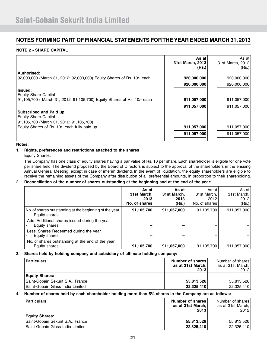#### **NOTE 2 - SHARE CAPITAL**

|                                                                                            | As at<br>31st March, 2013<br>(Rs.) | As at l<br>31st March, 2012<br>(Rs.) |
|--------------------------------------------------------------------------------------------|------------------------------------|--------------------------------------|
| Authorised:                                                                                |                                    |                                      |
| 92,000,000 (March 31, 2012: 92,000,000) Equity Shares of Rs. 10/- each                     | 920,000,000                        | 920,000,000                          |
|                                                                                            | 920,000,000                        | 920,000,000                          |
| <b>Issued:</b><br><b>Equity Share Capital</b>                                              |                                    |                                      |
| 91,105,700 (March 31, 2012: 91,105,700) Equity Shares of Rs. 10/- each                     | 911,057,000                        | 911,057,000                          |
|                                                                                            | 911,057,000                        | 911,057,000                          |
| Subscribed and Paid up:<br>Equity Share Capital<br>91,105,700 (March 31, 2012: 91,105,700) |                                    |                                      |
| Equity Shares of Rs. 10/- each fully paid up                                               | 911,057,000                        | 911,057,000                          |
|                                                                                            | 911,057,000                        | 911,057,000                          |

#### **Notes:**

#### **1. Rights, preferences and restrictions attached to the shares**

Equity Shares:

 The Company has one class of equity shares having a par value of Rs. 10 per share. Each shareholder is eligible for one vote per share held. The dividend proposed by the Board of Directors is subject to the approval of the shareholders in the ensuing Annual General Meeting, except in case of interim dividend. In the event of liquidation, the equity shareholders are eligible to receive the remaining assets of the Company after distribution of all preferential amounts, in proportion to their shareholding.

#### **2. Reconciliation of the number of shares outstanding at the beginning and at the end of the year:**

|                                                                         | As at<br>31st March.<br>2013<br>No. of shares | As at<br>31st March,<br>2013<br>(Rs.) | As at<br>31st March,<br>2012<br>No. of shares | As at<br>31st March,<br>2012<br>(Rs.) |
|-------------------------------------------------------------------------|-----------------------------------------------|---------------------------------------|-----------------------------------------------|---------------------------------------|
| No. of shares outstanding at the beginning of the year<br>Equity shares | 91,105,700                                    | 911,057,000                           | 91,105,700                                    | 911,057,000                           |
| Add: Additional shares issued during the year<br>Equity shares          |                                               | -                                     |                                               |                                       |
| Less: Shares Redeemed during the year<br>Equity shares                  |                                               | -                                     |                                               |                                       |
| No. of shares outstanding at the end of the year<br>Equity shares       | 91,105,700                                    | 911,057,000                           | 91,105,700                                    | 911,057,000                           |

#### **3. Shares held by holding company and subsidiary of ultimate holding company:**

| <b>Particulars</b>                 | Number of shares<br>as at 31st March,<br>2013 | Number of shares<br>as at 31st March,<br>2012 |
|------------------------------------|-----------------------------------------------|-----------------------------------------------|
| <b>Equity Shares:</b>              |                                               |                                               |
| Saint-Gobain Sekurit S.A., France  | 55,813,526                                    | 55,813,526                                    |
| l Saint-Gobain Glass India Limited | 22,325,410                                    | 22,325,410                                    |

#### **4. Number of shares held by each shareholder holding more than 5% shares in the Company are as follows:**

| <b>Particulars</b>                | Number of shares<br>as at 31st March,<br>2013 | Number of shares<br>as at 31st March,<br>2012 |
|-----------------------------------|-----------------------------------------------|-----------------------------------------------|
| <b>Equity Shares:</b>             |                                               |                                               |
| Saint-Gobain Sekurit S.A., France | 55,813,526                                    | 55,813,526                                    |
| Saint-Gobain Glass India Limited  | 22,325,410                                    | 22,325,410                                    |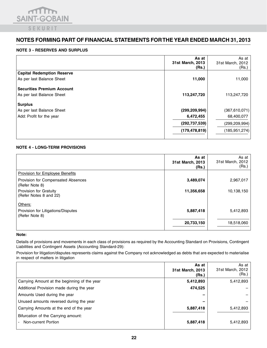

#### **NOTE 3 - RESERVES AND SURPLUS**

|                                   | As at<br>31st March, 2013<br>(Rs.) | As at<br>31st March, 2012<br>(Rs.) |
|-----------------------------------|------------------------------------|------------------------------------|
| <b>Capital Redemption Reserve</b> |                                    |                                    |
| As per last Balance Sheet         | 11,000                             | 11,000                             |
| Securities Premium Account        |                                    |                                    |
| As per last Balance Sheet         | 113,247,720                        | 113,247,720                        |
| <b>Surplus</b>                    |                                    |                                    |
| As per last Balance Sheet         | (299, 209, 994)                    | (367,610,071)                      |
| Add: Profit for the year          | 6,472,455                          | 68,400,077                         |
|                                   | (292, 737, 539)                    | (299, 209, 994)                    |
|                                   | (179, 478, 819)                    | (185, 951, 274)                    |

#### **NOTE 4 - LONG-TERM PROVISIONS**

|                                                      | As at<br>31st March, 2013<br>(Rs.) | As at<br>31st March, 2012<br>(Rs.) |
|------------------------------------------------------|------------------------------------|------------------------------------|
| <b>Provision for Employee Benefits</b>               |                                    |                                    |
| Provision for Compensated Absences<br>(Refer Note 8) | 3,489,074                          | 2,967,017                          |
| Provision for Gratuity<br>(Refer Notes 8 and 22)     | 11,356,658                         | 10,138,150                         |
| Others:                                              |                                    |                                    |
| Provision for Litigations/Disputes<br>(Refer Note 8) | 5,887,418                          | 5,412,893                          |
|                                                      | 20,733,150                         | 18,518,060                         |

#### **Note:**

Details of provisions and movements in each class of provisions as required by the Accounting Standard on Provisions, Contingent Liabilities and Contingent Assets (Accounting Standard-29):

Provision for litigation/disputes represents claims against the Company not acknowledged as debts that are expected to materialise in respect of matters in litigation

|                                                            | As at<br>31st March, 2013<br>(Rs.) | As at<br>31st March, 2012<br>(Rs.) |
|------------------------------------------------------------|------------------------------------|------------------------------------|
| Carrying Amount at the beginning of the year               | 5,412,893                          | 5,412,893                          |
| Additional Provision made during the year                  | 474,525                            |                                    |
| Amounts Used during the year                               |                                    |                                    |
| Unused amounts reversed during the year                    | -                                  |                                    |
| Carrying Amounts at the end of the year                    | 5,887,418                          | 5,412,893                          |
| Bifurcation of the Carrying amount:<br>Non-current Portion | 5,887,418                          | 5,412,893                          |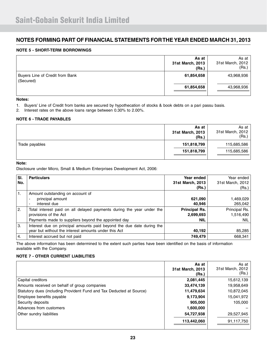#### **NOTE 5 - SHORT-TERM BORROWINGS**

|                                              | As at<br>31st March, 2013<br>(Rs.) | As at 1<br>31st March, 2012<br>(Rs.) |
|----------------------------------------------|------------------------------------|--------------------------------------|
| Buyers Line of Credit from Bank<br>(Secured) | 61,854,658                         | 43,968,936                           |
|                                              | 61,854,658                         | 43,968,936                           |

#### **Notes:**

- 1. Buyers' Line of Credit from banks are secured by hypothecation of stocks & book debts on a pari passu basis.
- 2. Interest rates on the above loans range between 0.30% to 2.00%.

#### **NOTE 6 - TRADE PAYABLES**

|                | As at<br>31st March, 2013<br>(Rs.) | As at<br>31st March, 2012<br>(Rs.) |
|----------------|------------------------------------|------------------------------------|
| Trade payables | 151,818,799                        | 115,685,586                        |
|                | 151,818,799                        | 115,685,586                        |

#### **Note:**

Disclosure under Micro, Small & Medium Enterprises Development Act, 2006:

| SI.<br>No. | <b>Particulars</b>                                                                                                                                    | Year ended<br>31st March, 2013<br>(Rs.)         | Year ended<br>31st March, 2012<br>(Rs.) |
|------------|-------------------------------------------------------------------------------------------------------------------------------------------------------|-------------------------------------------------|-----------------------------------------|
| 1.         | Amount outstanding on account of<br>principal amount<br>interest due<br>$\overline{\phantom{a}}$                                                      | 621,090<br>40,946                               | 1,469,029<br>265,042                    |
| 2.         | Total interest paid on all delayed payments during the year under the<br>provisions of the Act<br>Payments made to suppliers beyond the appointed day | <b>Principal Rs.</b><br>2,699,693<br><b>NIL</b> | Principal Rs.<br>1,516,490<br>NIL.      |
| 3.         | Interest due on principal amounts paid beyond the due date during the<br>year but without the interest amounts under this Act                         | 40,192                                          | 85,285                                  |
| 4.         | Interest accrued but not paid                                                                                                                         | 749,479                                         | 668,341                                 |

The above information has been determined to the extent such parties have been identified on the basis of information available with the Company.

#### **NOTE 7 - OTHER CURRENT LIABILITIES**

|                                                                      | As at<br>31st March, 2013<br>(Rs.) | As at<br>31st March, 2012<br>(Rs.) |
|----------------------------------------------------------------------|------------------------------------|------------------------------------|
| Capital creditors                                                    | 2,081,445                          | 15,612,139                         |
| Amounts received on behalf of group companies                        | 33,474,139                         | 19,958,649                         |
| Statutory dues (including Provident Fund and Tax Deducted at Source) | 11,479,634                         | 10,872,045                         |
| Employee benefits payable                                            | 9,173,904                          | 15,041,972                         |
| Security deposits                                                    | 905,000                            | 105,000                            |
| Advances from customers                                              | 1,600,000                          |                                    |
| Other sundry liabilities                                             | 54,727,938                         | 29,527,945                         |
|                                                                      | 113,442,060                        | 91,117,750                         |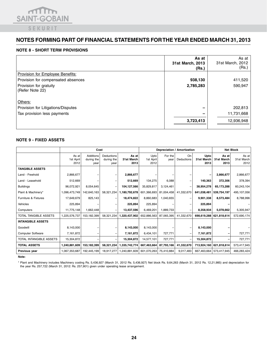

#### **NOTE 8 - SHORT TERM PROVISIONS**

|                                           | As at<br>31st March, 2013<br>(Rs.) | As at<br>31st March, 2012<br>(Rs.) |
|-------------------------------------------|------------------------------------|------------------------------------|
| Provision for Employee Benefits:          |                                    |                                    |
| Provision for compensated absences        | 938,130                            | 411,520                            |
| Provision for gratuity<br>(Refer Note 22) | 2,785,283                          | 590,947                            |
| Others:                                   |                                    |                                    |
| Provision for Litigations/Disputes        |                                    | 202,813                            |
| Tax provision less payments               |                                    | 11,731,668                         |
|                                           | 3,723,413                          | 12,936,948                         |

#### **NOTE 9 - FIXED ASSETS**

|                                |                            | Cost                            |                                  |                             | Depreciation / Amortization |                 | <b>Net Block</b> |                            |                             |                             |
|--------------------------------|----------------------------|---------------------------------|----------------------------------|-----------------------------|-----------------------------|-----------------|------------------|----------------------------|-----------------------------|-----------------------------|
|                                | As at<br>1st April<br>2012 | Additions<br>during the<br>year | Deductions<br>during the<br>year | As at<br>31st March<br>2013 | Upto<br>1st April<br>2012   | For the<br>year | On<br>Deductions | Upto<br>31st March<br>2013 | As at<br>31st March<br>2013 | As at<br>31st March<br>2012 |
| <b>TANGIBLE ASSETS</b>         |                            |                                 |                                  |                             |                             |                 |                  |                            |                             |                             |
| Land - Freehold                | 2,866,677                  |                                 |                                  | 2,866,677                   |                             |                 |                  |                            | 2,866,677                   | 2,866,677                   |
| Land - Leasehold               | 512,669                    |                                 |                                  | 512,669                     | 134,275                     | 6,088           |                  | 140,363                    | 372,306                     | 378,394                     |
| <b>Buildings</b>               | 96,072,921                 | 8,054,645                       |                                  | 104,127,566                 | 35,829,817                  | 3,124,461       |                  | 38,954,278                 | 65,173,288                  | 60,243,104                  |
| Plant & Machinery*             | 1,096,473,749              | 142,640,163                     | 58,321,234                       | 1,180,792,678               | 601,366,693                 | 81,004,458      | 41,332,670       | 641,038,481                | 539,754,197                 | 495,107,056                 |
| Furniture & Fixtures           | 17,649,679                 | 825,143                         |                                  | 18,474,822                  | 8,860,683                   | 1,040,655       |                  | 9,901,338                  | 8,573,484                   | 8,788,996                   |
| Vehicles                       | 225,894                    |                                 |                                  | 225,894                     | 225,894                     |                 |                  | 225,894                    |                             |                             |
| Computers                      | 11,775,148                 | 1,662,448                       |                                  | 13,437,596                  | 6,469,201                   | 1,889,733       |                  | 8,358,934                  | 5,078,662                   | 5,305,947                   |
| TOTAL TANGIBLE ASSETS          | 1,225,576,737              | 153,182,399                     | 58,321,234                       | 1,320,437,902               | 652,886,563                 | 87,065,395      | 41,332,670       | 698,619,288                | 621,818,614                 | 572,690,174                 |
| <b>INTANGIBLE ASSETS</b>       |                            |                                 |                                  |                             |                             |                 |                  |                            |                             |                             |
| Goodwill                       | 8,143,000                  |                                 |                                  | 8,143,000                   | 8,143,000                   |                 |                  | 8,143,000                  |                             |                             |
| <b>Computer Software</b>       | 7,161,872                  |                                 |                                  | 7,161,872                   | 6,434,101                   | 727,771         |                  | 7,161,872                  |                             | 727,771                     |
| <b>TOTAL INTANGIBLE ASSETS</b> | 15,304,872                 |                                 |                                  | 15,304,872                  | 14,577,101                  | 727,771         | $\overline{a}$   | 15,304,872                 |                             | 727,771                     |
| <b>TOTAL ASSETS</b>            | 1,240,881,609              | 153,182,399                     | 58,321,234                       | 1,335,742,774               | 667,463,664                 | 87,793,166      | 41,332,670       | 713,924,160                | 621,818,614                 | 573,417,945                 |
| Previous year                  | 1,067,353,687              | 192,445,199                     | 18,917,277                       | 1,240,881,609               | 601,070,263                 | 75,410,884      | 9,017,483        | 667,463,664                | 573,417,945                 | 466,283,424                 |

**Note:**

\* Plant and Machinery includes Machinery costing Rs. 5,436,927 (March 31, 2012 Rs. 5,436,927) Net block Rs. 9,64,263 (March 31, 2012 Rs. 12,21,985) and depreciation for the year Rs. 257,722 (March 31, 2012: Rs. 257,901) given under operating lease arrangement.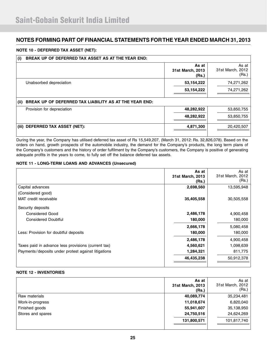#### **NOTE 10 - DEFERRED TAX ASSET (NET):**

| (i)   | BREAK UP OF DEFERRED TAX ASSET AS AT THE YEAR END:     |                                    |                                    |  |  |  |
|-------|--------------------------------------------------------|------------------------------------|------------------------------------|--|--|--|
|       |                                                        | As at<br>31st March, 2013<br>(Rs.) | As at<br>31st March, 2012<br>(Rs.) |  |  |  |
|       | Unabsorbed depreciation                                | 53, 154, 222                       | 74,271,262                         |  |  |  |
|       |                                                        | 53,154,222                         | 74,271,262                         |  |  |  |
| (ii)  | BREAK UP OF DEFERRED TAX LIABILITY AS AT THE YEAR END: |                                    |                                    |  |  |  |
|       | Provision for depreciation                             | 48,282,922                         | 53,850,755                         |  |  |  |
|       |                                                        | 48,282,922                         | 53,850,755                         |  |  |  |
| (iii) | DEFERRED TAX ASSET (NET):                              | 4,871,300                          | 20,420,507                         |  |  |  |

During the year, the Company has utilised deferred tax asset of Rs 15,549,207, (March 31, 2012: Rs. 32,826,078). Based on the orders on hand, growth prospects of the automobile industry, the demand for the Company's products, the long term plans of the Company's customers and the history of order fulfilment by the Company's customers, the Company is positive of generating adequate profits in the years to come, to fully set off the balance deferred tax assets.

#### **NOTE 11 - LONG-TERM LOANS AND ADVANCES (Unsecured)**

|                                                     | As at<br>31st March, 2013<br>(Rs.) | As at<br>31st March, 2012<br>(Rs.) |
|-----------------------------------------------------|------------------------------------|------------------------------------|
| Capital advances                                    | 2,698,560                          | 13,595,948                         |
| (Considered good)                                   |                                    |                                    |
| MAT credit receivable                               | 35,405,558                         | 30,505,558                         |
| Security deposits                                   |                                    |                                    |
| <b>Considered Good</b>                              | 2,486,178                          | 4,900,458                          |
| <b>Considered Doubtful</b>                          | 180,000                            | 180,000                            |
|                                                     | 2,666,178                          | 5,080,458                          |
| Less: Provision for doubtful deposits               | 180,000                            | 180,000                            |
|                                                     | 2,486,178                          | 4,900,458                          |
| Taxes paid in advance less provisions (current tax) | 4,560,621                          | 1,098,639                          |
| Payments/deposits under protest against litigations | 1,284,321                          | 811,775                            |
|                                                     | 46,435,238                         | 50,912,378                         |

#### **NOTE 12 - INVENTORIES**

|                   | As at<br>31st March, 2013<br>(Rs.) | As at<br>31st March, 2012<br>(Rs.) |
|-------------------|------------------------------------|------------------------------------|
| Raw materials     | 40,089,774                         | 35,234,481                         |
| Work-in-progress  | 11,018,674                         | 6,820,040                          |
| Finished goods    | 55,941,607                         | 35,138,950                         |
| Stores and spares | 24,750,516                         | 24,624,269                         |
|                   | 131,800,571                        | 101,817,740                        |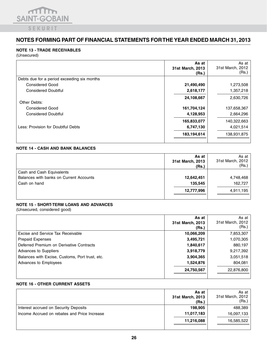

#### **NOTE 13 - TRADE RECEIVABLES**

(Unsecured)

|                                             | As at<br>31st March, 2013<br>(Rs.) | As at<br>31st March, 2012<br>(Rs.) |
|---------------------------------------------|------------------------------------|------------------------------------|
| Debts due for a period exceeding six months |                                    |                                    |
| <b>Considered Good</b>                      | 21,490,490                         | 1,273,508                          |
| <b>Considered Doubtful</b>                  | 2,618,177                          | 1,357,218                          |
| Other Debts:                                | 24,108,667                         | 2,630,726                          |
| <b>Considered Good</b>                      | 161,704,124                        | 137,658,367                        |
| <b>Considered Doubtful</b>                  | 4,128,953                          | 2,664,296                          |
|                                             | 165,833,077                        | 140,322,663                        |
| Less: Provision for Doubtful Debts          | 6,747,130                          | 4,021,514                          |
|                                             | 183,194,614                        | 138,931,875                        |

#### **NOTE 14 - CASH AND BANK BALANCES**

|                                         | As at<br>31st March, 2013<br>(Rs.) | As at I<br>31st March, 2012<br>(Rs.) |
|-----------------------------------------|------------------------------------|--------------------------------------|
| Cash and Cash Equivalents               |                                    |                                      |
| Balances with banks on Current Accounts | 12,642,451                         | 4,748,468                            |
| Cash on hand                            | 135.545                            | 162,727                              |
|                                         | 12,777,996                         | 4,911,195                            |

#### **NOTE 15 - SHORT-TERM LOANS AND ADVANCES**

(Unsecured, considered good)

|                                                 | As at<br>31st March, 2013<br>(Rs.) | As at<br>31st March, 2012<br>(Rs.) |
|-------------------------------------------------|------------------------------------|------------------------------------|
| Excise and Service Tax Receivable               | 10,066,209                         | 7,853,307                          |
| <b>Prepaid Expenses</b>                         | 3,495,721                          | 1,070,305                          |
| Deferred Premium on Derivative Contracts        | 1,840,617                          | 880,197                            |
| Advances to Suppliers                           | 3,918,779                          | 9,217,392                          |
| Balances with Excise, Customs, Port trust, etc. | 3,904,365                          | 3,051,518                          |
| Advances to Employees                           | 1,524,876                          | 804,081                            |
|                                                 | 24,750,567                         | 22,876,800                         |

#### **NOTE 16 - OTHER CURRENT ASSETS**

|                                              | As at<br>31st March, 2013<br>(Rs.) | As at<br>31st March, 2012<br>(Rs.) |
|----------------------------------------------|------------------------------------|------------------------------------|
| Interest accrued on Security Deposits        | 198.905                            | 488,389                            |
| Income Accrued on rebates and Price Increase | 11,017,183                         | 16,097,133                         |
|                                              | 11,216,088                         | 16,585,522                         |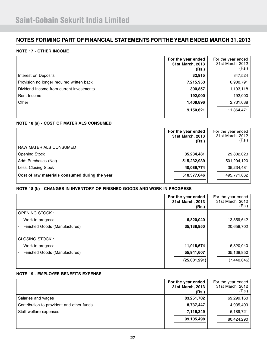#### **NOTE 17 - OTHER INCOME**

|                                           | For the year ended<br>31st March, 2013<br>(Rs.) | For the year ended<br>31st March, 2012<br>(Rs.) |
|-------------------------------------------|-------------------------------------------------|-------------------------------------------------|
| Interest on Deposits                      | 32,915                                          | 347,524                                         |
| Provision no longer required written back | 7,215,953                                       | 6,900,791                                       |
| Dividend Income from current investments  | 300,857                                         | 1,193,118                                       |
| Rent Income                               | 192,000                                         | 192,000                                         |
| Other                                     | 1,408,896                                       | 2,731,038                                       |
|                                           | 9,150,621                                       | 11,364,471                                      |

#### **NOTE 18 (a) - COST OF MATERIALS CONSUMED**

|                                                | For the year ended<br>31st March, 2013<br>(Rs.) | For the year ended<br>31st March, 2012<br>(Rs.) |
|------------------------------------------------|-------------------------------------------------|-------------------------------------------------|
| RAW MATERIALS CONSUMED                         |                                                 |                                                 |
| <b>Opening Stock</b>                           | 35,234,481                                      | 29,802,023                                      |
| Add: Purchases (Net)                           | 515,232,939                                     | 501,204,120                                     |
| Less: Closing Stock                            | 40,089,774                                      | 35,234,481                                      |
| Cost of raw materials consumed during the year | 510,377,646                                     | 495,771,662                                     |

#### **NOTE 18 (b) - CHANGES IN INVENTORY OF FINISHED GOODS AND WORK IN PROGRESS**

|                               | For the year ended<br>31st March, 2013<br>(Rs.) | For the year ended<br>31st March, 2012<br>(Rs.) |
|-------------------------------|-------------------------------------------------|-------------------------------------------------|
| <b>OPENING STOCK:</b>         |                                                 |                                                 |
| Work-in-progress              | 6,820,040                                       | 13,859,642                                      |
| Finished Goods (Manufactured) | 35,138,950                                      | 20,658,702                                      |
| CLOSING STOCK:                |                                                 |                                                 |
| Work-in-progress              | 11,018,674                                      | 6,820,040                                       |
| Finished Goods (Manufactured) | 55,941,607                                      | 35,138,950                                      |
|                               | (25,001,291)                                    | (7,440,646)                                     |

#### **NOTE 19 - EMPLOYEE BENEFITS EXPENSE**

|                                           | For the year ended<br>31st March, 2013<br>(Rs.) | For the year ended<br>31st March, 2012<br>(Rs.) |
|-------------------------------------------|-------------------------------------------------|-------------------------------------------------|
| Salaries and wages                        | 83,251,702                                      | 69,299,160                                      |
| Contribution to provident and other funds | 8,737,447                                       | 4,935,409                                       |
| Staff welfare expenses                    | 7,116,349                                       | 6,189,721                                       |
|                                           | 99,105,498                                      | 80,424,290                                      |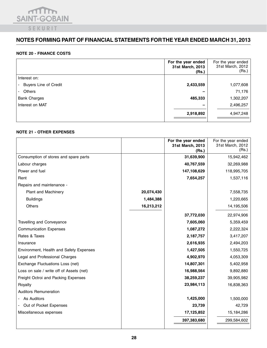

#### **NOTE 20 - FINANCE COSTS**

|                              | For the year ended<br>31st March, 2013<br>(Rs.) | For the year ended<br>31st March, 2012<br>(Rs.) |
|------------------------------|-------------------------------------------------|-------------------------------------------------|
| Interest on:                 |                                                 |                                                 |
| <b>Buyers Line of Credit</b> | 2,433,559                                       | 1,077,608                                       |
| Others                       |                                                 | 71,176                                          |
| <b>Bank Charges</b>          | 485,333                                         | 1,302,207                                       |
| Interest on MAT              |                                                 | 2,496,257                                       |
|                              | 2,918,892                                       | 4,947,248                                       |

#### **NOTE 21 - OTHER EXPENSES**

|                                          |            | For the year ended<br>31st March, 2013<br>(Rs.) | For the year ended<br>31st March, 2012<br>(Rs.) |
|------------------------------------------|------------|-------------------------------------------------|-------------------------------------------------|
| Consumption of stores and spare parts    |            | 31,639,900                                      | 15,942,462                                      |
| Labour charges                           |            | 40,767,559                                      | 32,269,988                                      |
| Power and fuel                           |            | 147,108,629                                     | 118,995,705                                     |
| Rent                                     |            | 7,654,257                                       | 1,537,116                                       |
| Repairs and maintenance -                |            |                                                 |                                                 |
| Plant and Machinery                      | 20,074,430 |                                                 | 7,558,735                                       |
| <b>Buildings</b>                         | 1,484,388  |                                                 | 1,220,665                                       |
| <b>Others</b>                            | 16,213,212 |                                                 | 14,195,506                                      |
|                                          |            | 37,772,030                                      | 22,974,906                                      |
| <b>Travelling and Conveyance</b>         |            | 7,605,060                                       | 5,359,459                                       |
| <b>Communication Expenses</b>            |            | 1,087,272                                       | 2,222,324                                       |
| Rates & Taxes                            |            | 2,187,757                                       | 3,417,207                                       |
| Insurance                                |            | 2,616,935                                       | 2,494,203                                       |
| Environment, Health and Safety Expenses  |            | 1,427,505                                       | 1,550,725                                       |
| Legal and Professional Charges           |            | 4,902,970                                       | 4,053,309                                       |
| Exchange Fluctuations Loss (net)         |            | 14,807,301                                      | 5,402,958                                       |
| Loss on sale / write off of Assets (net) |            | 16,988,564                                      | 9,892,880                                       |
| Freight Octroi and Packing Expenses      |            | 38,259,237                                      | 39,905,982                                      |
| Royalty                                  |            | 23,984,113                                      | 16,838,363                                      |
| <b>Auditors Remuneration</b>             |            |                                                 |                                                 |
| - As Auditors                            |            | 1,425,000                                       | 1,500,000                                       |
| Out of Pocket Expenses                   |            | 23,739                                          | 42,729                                          |
| Miscellaneous expenses                   |            | 17,125,852                                      | 15,184,286                                      |
|                                          |            | 397,383,680                                     | 299,584,602                                     |
|                                          |            |                                                 |                                                 |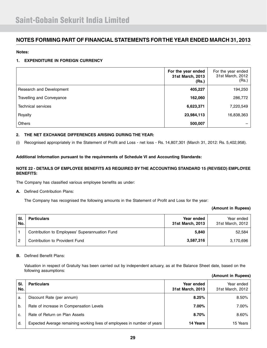#### **Notes:**

#### **1. EXPENDITURE IN FOREIGN CURRENCY**

|                           | For the year ended<br>31st March, 2013<br>(Rs.) | For the year ended<br>31st March, 2012<br>(Rs.) |
|---------------------------|-------------------------------------------------|-------------------------------------------------|
| Research and Development  | 405,227                                         | 194,250                                         |
| Travelling and Conveyance | 162,060                                         | 286,772                                         |
| <b>Technical services</b> | 6,623,371                                       | 7,220,549                                       |
| Royalty                   | 23,984,113                                      | 16,838,363                                      |
| <b>Others</b>             | 500,007                                         |                                                 |

#### **2. THE NET EXCHANGE DIFFERENCES ARISING DURING THE YEAR:**

(i) Recognised appropriately in the Statement of Profit and Loss - net loss - Rs. 14,807,301 (March 31, 2012: Rs. 5,402,958).

#### **Additional Information pursuant to the requirements of Schedule VI and Accounting Standards:**

#### **NOTE 22 - DETAILS OF EMPLOYEE BENEFITS AS REQUIRED BY THE ACCOUNTING STANDARD 15 (REVISED) EMPLOYEE BENEFITS:**

The Company has classified various employee benefits as under:

**A.** Defined Contribution Plans:

The Company has recognised the following amounts in the Statement of Profit and Loss for the year:

#### **(Amount in Rupees)**

| SI.<br>No. | <b>Particulars</b>                             | Year ended<br>31st March, 2013 | Year ended<br>31st March, 2012 |
|------------|------------------------------------------------|--------------------------------|--------------------------------|
|            | Contribution to Employees' Superannuation Fund | 5,840                          | 52.584                         |
| 2          | Contribution to Provident Fund                 | 3,587,316                      | 3,170,696                      |

#### **B.** Defined Benefit Plans:

 Valuation in respect of Gratuity has been carried out by independent actuary, as at the Balance Sheet date, based on the following assumptions:

| (Amount in Rupees) |  |  |
|--------------------|--|--|
|--------------------|--|--|

| SI.<br>No. | <b>Particulars</b>                                                       | Year ended<br>31st March, 2013 | Year ended<br>31st March, 2012 |
|------------|--------------------------------------------------------------------------|--------------------------------|--------------------------------|
| a.         | Discount Rate (per annum)                                                | 8.25%                          | 8.50%                          |
| b.         | Rate of increase in Compensation Levels                                  | 7.00%                          | 7.00%                          |
| C.         | Rate of Return on Plan Assets                                            | 8.70%                          | 8.60%                          |
| d.         | Expected Average remaining working lives of employees in number of years | 14 Years                       | 15 Years                       |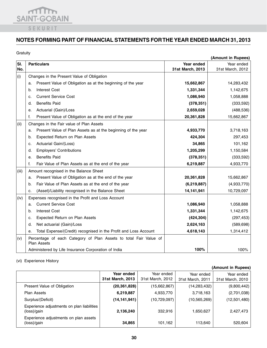

### Gratuity

|       |                                                                                         |                  | (Amount in Rupees) |
|-------|-----------------------------------------------------------------------------------------|------------------|--------------------|
| SI.   | <b>Particulars</b>                                                                      | Year ended       | Year ended         |
| No.   |                                                                                         | 31st March, 2013 | 31st March, 2012   |
| (i)   | Changes in the Present Value of Obligation                                              |                  |                    |
|       | Present Value of Obligation as at the beginning of the year<br>a.                       | 15,662,867       | 14,283,432         |
|       | <b>Interest Cost</b><br>b.                                                              | 1,331,344        | 1,142,675          |
|       | <b>Current Service Cost</b><br>c.                                                       | 1,086,940        | 1,058,888          |
|       | <b>Benefits Paid</b><br>d.                                                              | (378, 351)       | (333,592)          |
|       | Actuarial (Gain)/Loss<br>е.                                                             | 2,659,028        | (488, 536)         |
|       | f.<br>Present Value of Obligation as at the end of the year                             | 20,361,828       | 15,662,867         |
| (ii)  | Changes in the Fair value of Plan Assets                                                |                  |                    |
|       | Present Value of Plan Assets as at the beginning of the year<br>a.                      | 4,933,770        | 3,718,163          |
|       | Expected Return on Plan Assets<br>b.                                                    | 424,304          | 297,453            |
|       | Actuarial Gain/(Loss)<br>c.                                                             | 34,865           | 101,162            |
|       | <b>Employers' Contributions</b><br>d.                                                   | 1,205,299        | 1,150,584          |
|       | <b>Benefits Paid</b><br>е.                                                              | (378, 351)       | (333,592)          |
|       | f.<br>Fair Value of Plan Assets as at the end of the year                               | 6,219,887        | 4,933,770          |
| (iii) | Amount recognised in the Balance Sheet                                                  |                  |                    |
|       | Present Value of Obligation as at the end of the year<br>a.                             | 20,361,828       | 15,662,867         |
|       | Fair Value of Plan Assets as at the end of the year<br>b.                               | (6, 219, 887)    | (4,933,770)        |
|       | (Asset)/Liability recognised in the Balance Sheet<br>C.                                 | 14,141,941       | 10,729,097         |
| (iv)  | Expenses recognised in the Profit and Loss Account                                      |                  |                    |
|       | <b>Current Service Cost</b><br>a.                                                       | 1,086,940        | 1,058,888          |
|       | <b>Interest Cost</b><br>b.                                                              | 1,331,344        | 1,142,675          |
|       | Expected Return on Plan Assets<br>c.                                                    | (424, 304)       | (297, 453)         |
|       | Net actuarial (Gain)/Loss<br>d.                                                         | 2,624,163        | (589, 698)         |
|       | Total Expense/(Credit) recognised in the Profit and Loss Account<br>е.                  | 4,618,143        | 1,314,412          |
| (v)   | Percentage of each Category of Plan Assets to total Fair Value of<br><b>Plan Assets</b> |                  |                    |
|       | Administered by Life Insurance Corporation of India                                     | 100%             | 100%               |

### (vi) Experience History

| (Amount in Rupees)                                        |                                |                                |                                |                                |  |
|-----------------------------------------------------------|--------------------------------|--------------------------------|--------------------------------|--------------------------------|--|
|                                                           | Year ended<br>31st March, 2013 | Year ended<br>31st March, 2012 | Year ended<br>31st March, 2011 | Year ended<br>31st March, 2010 |  |
| Present Value of Obligation                               | (20, 361, 828)                 | (15,662,867)                   | (14, 283, 432)                 | (9,800,442)                    |  |
| <b>Plan Assets</b>                                        | 6,219,887                      | 4,933,770                      | 3,718,163                      | (2,701,038)                    |  |
| Surplus/(Deficit)                                         | (14,141,941)                   | (10,729,097)                   | (10, 565, 269)                 | (12,501,480)                   |  |
| Experience adjustments on plan liabilities<br>(loss)/gain | 2,136,240                      | 332,916                        | 1,650,627                      | 2,427,473                      |  |
| Experience adjustments on plan assets<br>(loss)/gain      | 34,865                         | 101,162                        | 113,640                        | 520,604                        |  |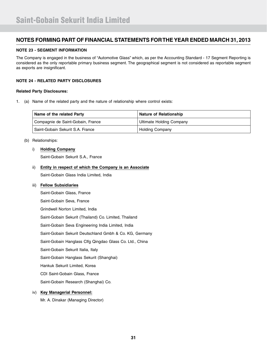#### **NOTE 23 - SEGMENT INFORMATION**

The Company is engaged in the business of "Automotive Glass" which, as per the Accounting Standard - 17 Segment Reporting is considered as the only reportable primary business segment. The geographical segment is not considered as reportable segment as exports are insignificant.

#### **NOTE 24 - RELATED PARTY DISCLOSURES**

#### **Related Party Disclosures:**

1. (a) Name of the related party and the nature of relationship where control exists:

| Name of the related Party         | Nature of Relationship   |
|-----------------------------------|--------------------------|
| Compagnie de Saint-Gobain, France | Ultimate Holding Company |
| Saint-Gobain Sekurit S.A. France  | <b>Holding Company</b>   |

#### (b) Relationships:

### i) **Holding Company**

Saint-Gobain Sekurit S.A., France

#### ii) **Entity in respect of which the Company is an Associate**

Saint-Gobain Glass India Limited, India

#### iii) **Fellow Subsidiaries**

 Saint-Gobain Glass, France Saint-Gobain Seva, France Grindwell Norton Limited, India Saint-Gobain Sekurit (Thailand) Co. Limited, Thailand Saint-Gobain Seva Engineering India Limited, India Saint-Gobain Sekurit Deutschland Gmbh & Co. KG, Germany Saint-Gobain Hanglass Clfg Qingdao Glass Co. Ltd., China Saint-Gobain Sekurit Italia, Italy Saint-Gobain Hanglass Sekurit (Shanghai) Hankuk Sekurit Limited, Korea CDI Saint-Gobain Glass, France Saint-Gobain Research (Shanghai) Co.

#### iv) **Key Managerial Personnel:**

Mr. A. Dinakar (Managing Director)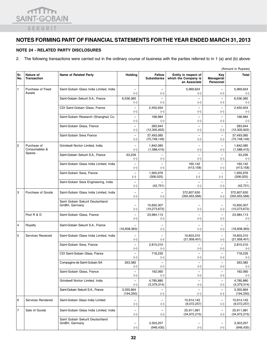

#### **NOTE 24 - RELATED PARTY DISCLOSURES**

2. The following transactions were carried out in the ordinary course of business with the parties referred to in 1 (a) and (b) above:

|                |                                 |                                                   |                                   |                                      |                                                              |                                       | (Amount in Rupees)      |
|----------------|---------------------------------|---------------------------------------------------|-----------------------------------|--------------------------------------|--------------------------------------------------------------|---------------------------------------|-------------------------|
| Sr.<br>No.     | Nature of<br><b>Transaction</b> | <b>Name of Related Party</b>                      | Holding                           | <b>Fellow</b><br><b>Subsidiaries</b> | Entity in respect of<br>which the Company is<br>an Associate | Key<br><b>Managerial</b><br>Personnel | Total                   |
| 1              | Purchase of Fixed               | Saint-Gobain Glass India Limited, India           |                                   |                                      | 5,969,624                                                    |                                       | 5,969,624               |
|                | Assets                          |                                                   | $(-)$                             | $(-)$                                | $(-)$                                                        | $(-)$                                 | $(-)$                   |
|                |                                 | Saint-Gobain Sekurit S.A., France                 | 6,536,365                         | $\equiv$                             | $\qquad \qquad -$                                            | $\equiv$                              | 6,536,365               |
|                |                                 |                                                   | $(-)$                             | $(-)$                                | $(-)$                                                        | $(-)$                                 | $(-)$                   |
|                |                                 | CDI Saint-Gobain Glass, France                    | $\overline{\phantom{0}}$          | 2,450,934                            | $\qquad \qquad -$                                            | $\overline{\phantom{0}}$              | 2,450,934               |
|                |                                 |                                                   | $(-)$                             | $(-)$                                | $(-)$                                                        | $(-)$                                 | $(-)$                   |
|                |                                 | Saint-Gobain Research (Shanghai) Co.              | $\overline{\phantom{a}}$<br>$(-)$ | 168.984<br>$(-)$                     | $\qquad \qquad -$<br>$(-)$                                   | $\overline{\phantom{m}}$              | 168,984                 |
|                |                                 | Saint-Gobain Glass, France                        | $\equiv$                          | 283,944                              | $\overline{\phantom{0}}$                                     | $(-)$<br>$\equiv$                     | $(-)$<br>283,944        |
|                |                                 |                                                   | $(-)$                             | (12, 305, 922)                       | $(-)$                                                        | $(-)$                                 | (12,305,922)            |
|                |                                 | Saint-Gobain Seva France                          | $\overline{\phantom{0}}$          | 37,493,085                           | $\equiv$                                                     | $\overline{\phantom{0}}$              | 37,493,085              |
|                |                                 |                                                   | $(-)$                             | (75, 748, 149)                       | $(-)$                                                        | $(-)$                                 | (75, 748, 149)          |
| $\overline{c}$ | Purchase of                     | Grindwell Norton Limited, India                   |                                   | 1,842,085                            | $\overline{\phantom{0}}$                                     | $\overline{\phantom{m}}$              | 1,842,085               |
|                | Consumables &                   |                                                   | $(-)$                             | (1,588,415)                          | $(-)$                                                        | $(-)$                                 | (1,588,415)             |
|                | Spares                          | Saint-Gobain Sekurit S.A., France                 | 63,226                            | $\overline{\phantom{0}}$             | $\overline{\phantom{0}}$                                     | $\overline{\phantom{m}}$              | 63,226                  |
|                |                                 |                                                   | $(-)$                             | $(-)$                                | $(-)$                                                        | $(-)$                                 | $(-)$                   |
|                |                                 | Saint-Gobain Glass India Limited, India           | $\equiv$                          | $\equiv$                             | 160,142                                                      | $\overline{\phantom{0}}$              | 160,142                 |
|                |                                 |                                                   | $(-)$                             | $(-)$                                | (413, 158)                                                   | $(-)$                                 | (413, 158)              |
|                |                                 | Saint-Gobain Seva, France                         | $\overline{\phantom{a}}$          | 1,955,976<br>(306, 025)              | $\overline{\phantom{0}}$                                     | $\overline{\phantom{m}}$              | 1,955,976<br>(306, 025) |
|                |                                 |                                                   | $(-)$<br>$\overline{\phantom{a}}$ |                                      | $(-)$<br>$\overline{\phantom{0}}$                            | $(-)$                                 |                         |
|                |                                 | Saint-Gobain Seva Engineering, India              | $(-)$                             | (42, 751)                            | $(-)$                                                        | $(-)$                                 | (42, 751)               |
| 3              | Purchase of Goods               | Saint-Gobain Glass India Limited, India           |                                   |                                      |                                                              |                                       | 372,607,630             |
|                |                                 |                                                   | $\overline{\phantom{0}}$<br>$(-)$ | $\overline{\phantom{0}}$<br>$(-)$    | 372,607,630<br>(350, 955, 566)                               | $\qquad \qquad -$<br>$(-)$            | (350, 955, 566)         |
|                |                                 | Saint Gobain Sekurit Deutschland                  |                                   |                                      |                                                              |                                       |                         |
|                |                                 | GmBH, Germany                                     |                                   | 15,650,307                           |                                                              | -                                     | 15,650,307              |
|                |                                 |                                                   | $(-)$                             | (10, 273, 672)                       | $(-)$                                                        | $(-)$                                 | (10, 273, 672)          |
|                | Pool R & D                      | Saint-Gobain Glass, France                        | $\overline{\phantom{0}}$          | 23,984,113                           | $\qquad \qquad -$                                            | $\overline{\phantom{a}}$              | 23,984,113              |
|                |                                 |                                                   | $(-)$                             | $(-)$                                | $(-)$                                                        | $(-)$                                 | $(-)$                   |
| 4              | Royalty                         | Saint-Gobain Sekurit S.A., France                 |                                   | $\overline{\phantom{0}}$             | $\overline{\phantom{0}}$                                     | $\overline{\phantom{0}}$              |                         |
|                |                                 |                                                   | (16, 838, 363)                    | $(-)$                                | $(-)$                                                        | $(-)$                                 | (16,838,363)            |
| 5              | Services Received               | Saint-Gobain Glass India Limited, India           |                                   |                                      | 19,603,310                                                   | $\overline{\phantom{0}}$              | 19,603,310              |
|                |                                 |                                                   | $(-)$                             | $(-)$                                | (21, 958, 401)                                               | $(-)$                                 | (21, 958, 401)          |
|                |                                 | Saint-Gobain Seva, France                         | $\overline{\phantom{0}}$          | 2,815,010                            | $\overline{\phantom{0}}$                                     | $\overline{\phantom{0}}$              | 2,815,010               |
|                |                                 |                                                   | $(-)$                             | $(-)$                                | $(-)$                                                        | $(-)$                                 | $(-)$                   |
|                |                                 | CDI Saint-Gobain Glass, France                    | ÷<br>$(-)$                        | 718,235<br>$(-)$                     | $\equiv$<br>$(-)$                                            | $(-)$                                 | 718,235<br>$(-)$        |
|                |                                 | Compagine de Saint-Gobain SA                      | 263.382                           | $\qquad \qquad -$                    | $\qquad \qquad -$                                            | $\overline{\phantom{a}}$              | 263,382                 |
|                |                                 |                                                   | $(-)$                             | $(-)$                                | $(-)$                                                        | $(-)$                                 | $(-)$                   |
|                |                                 | Saint-Gobain Glass, France                        | -                                 | 162,060                              | $\qquad \qquad -$                                            | $\qquad \qquad -$                     | 162,060                 |
|                |                                 |                                                   | $(-)$                             | $(-)$                                | $(-)$                                                        | $(-)$                                 | $(-)$                   |
|                |                                 | Grindwell Norton Limited, India                   |                                   | 4,785,880                            | $\overline{\phantom{a}}$                                     |                                       | 4,785,880               |
|                |                                 |                                                   | $(-)$                             | (3,379,314)                          | $(-)$                                                        | $(-)$                                 | (3,379,314)             |
|                |                                 | Saint-Gobain Sekurit S.A., France                 | 3,355,664                         |                                      |                                                              |                                       | 3,355,664               |
|                |                                 |                                                   | (194, 250)                        | $(-)$                                | $(-)$                                                        | $(-)$                                 | (194, 250)              |
| 6              | Services Rendered               | Saint-Gobain Glass India Limited                  |                                   |                                      | 10,914,145                                                   |                                       | 10,914,145              |
|                |                                 |                                                   | $(-)$                             | $(-)$                                | (9,072,257)                                                  | $(-)$                                 | (9,072,257)             |
| 7              | Sale of Goods                   | Saint-Gobain Glass India Limited, India           |                                   |                                      | 25,911,981                                                   |                                       | 25,911,981              |
|                |                                 |                                                   | $(-)$                             | $(-)$                                | (34,972,215)                                                 | $(-)$                                 | (34,972,215)            |
|                |                                 | Saint Gobain Sekurit Deutschland<br>GmBH, Germany |                                   | 3,303,257                            |                                                              |                                       | 3,303,257               |
|                |                                 |                                                   | $(-)$                             | (946, 435)                           | $\qquad \qquad -$<br>$(-)$                                   | $(-)$                                 | (946, 435)              |
|                |                                 |                                                   |                                   |                                      |                                                              |                                       |                         |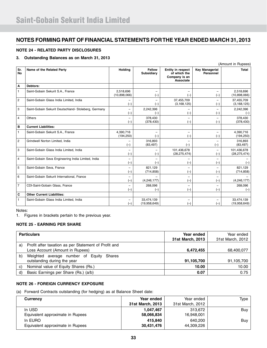#### **NOTE 24 - RELATED PARTY DISCLOSURES**

#### **3. Outstanding Balances as on March 31, 2013**

|                  |                                                      |                                   |                                    |                                                                 |                                    | (Amount in Rupees)            |
|------------------|------------------------------------------------------|-----------------------------------|------------------------------------|-----------------------------------------------------------------|------------------------------------|-------------------------------|
| Sr.<br><b>No</b> | Name of the Related Party                            | <b>Holding</b>                    | <b>Fellow</b><br><b>Subsidiary</b> | Entity in respect<br>of which the<br>Company is an<br>Associate | <b>Key Managerial</b><br>Personnel | Total                         |
| Α                | Debtors:                                             |                                   |                                    |                                                                 |                                    |                               |
| 1                | Saint-Gobain Sekurit S.A., France                    | 2,518,696<br>(10,898,066)         | $\overline{\phantom{0}}$<br>$(-)$  | $(-)$                                                           | -<br>$(-)$                         | 2,518,696<br>(10,898,066)     |
| 2                | Saint-Gobain Glass India Limited, India              | -<br>$(-)$                        | $\overline{\phantom{0}}$<br>$(-)$  | 37,455,709<br>(3, 168, 125)                                     | $\overline{\phantom{0}}$<br>$(-)$  | 37,455,709<br>(3, 168, 125)   |
| 3                | Saint-Gobain Sekurit Deutschland- Stoleberg, Germany | -<br>$(-)$                        | 2,242,396<br>$(-)$                 | $(-)$                                                           | $\overline{\phantom{0}}$<br>$(-)$  | 2,242,396<br>$(-)$            |
| 4                | Others                                               | -<br>$(-)$                        | 378,430<br>(378, 430)              | $(-)$                                                           | -<br>$(-)$                         | 378,430<br>(378, 430)         |
| в                | <b>Current Liabilities:</b>                          |                                   |                                    |                                                                 |                                    |                               |
| $\mathbf{1}$     | Saint-Gobain Sekurit S.A., France                    | 4,390,716<br>(194, 250)           | $\overline{\phantom{0}}$<br>$(-)$  | $(-)$                                                           | -<br>$(-)$                         | 4,390,716<br>(194, 250)       |
| $\overline{c}$   | Grindwell Norton Limited, India                      | $(-)$                             | 316,893<br>(83, 497)               | $(-)$                                                           | $\overline{\phantom{0}}$<br>$(-)$  | 316,893<br>(83, 497)          |
| 3                | Saint-Gobain Glass India Limited, India              | $\overline{\phantom{0}}$<br>$(-)$ | $(-)$                              | 101,436,678<br>(28, 275, 474)                                   | $\overline{\phantom{0}}$<br>$(-)$  | 101,436,678<br>(28, 275, 474) |
| 4                | Saint-Gobain Seva Engineering India Limited, India   | -<br>$(-)$                        | $(-)$                              | $(-)$                                                           | $(-)$                              | $(-)$                         |
| 5                | Saint-Gobain Seva, France                            | $\overline{\phantom{0}}$<br>$(-)$ | 821.129<br>(714, 858)              | $(-)$                                                           | $\overline{\phantom{0}}$<br>$(-)$  | 821.129<br>(714, 858)         |
| 6                | Saint-Gobain Sekurit International, France           | -<br>$(-)$                        | (4, 246, 177)                      | $(-)$                                                           | $(-)$                              | (4, 246, 177)                 |
| $\overline{7}$   | CDI-Saint-Gobain Glass, France                       | $\overline{\phantom{0}}$<br>$(-)$ | 268,096<br>$(-)$                   | $(-)$                                                           | -<br>$(-)$                         | 268,096<br>$(-)$              |
| C                | <b>Other Current Liabilities:</b>                    |                                   |                                    |                                                                 |                                    |                               |
| $\mathbf{1}$     | Saint-Gobain Glass India Limited, India              | -<br>$(-)$                        | 33,474,139<br>(19,958,649)         | $(-)$                                                           | -<br>$(-)$                         | 33,474,139<br>(19,958,649)    |

Notes:

1. Figures in brackets pertain to the previous year.

### **NOTE 25 - EARNING PER SHARE**

|    | <b>Particulars</b>                                   | Year ended<br>31st March, 2013 | Year ended<br>31st March, 2012 |
|----|------------------------------------------------------|--------------------------------|--------------------------------|
| a) | Profit after taxation as per Statement of Profit and |                                |                                |
|    | Loss Account (Amount in Rupees)                      | 6,472,455                      | 68,400,077                     |
| b) | Weighted average number of Equity Shares             |                                |                                |
|    | outstanding during the year                          | 91,105,700                     | 91,105,700                     |
| C) | Nominal value of Equity Shares (Rs.)                 | 10.00                          | 10.00                          |
| d) | Basic Earnings per Share (Rs.) (a/b)                 | 0.07                           | 0.75                           |

#### **NOTE 26 - FOREIGN CURRENCY EXPOSURE**

(a) Forward Contracts outstanding (for hedging) as at Balance Sheet date:

| <b>Currency</b>                  | Year ended       | Year ended       | Type |
|----------------------------------|------------------|------------------|------|
|                                  | 31st March, 2013 | 31st March, 2012 |      |
| In USD                           | 1.047.467        | 313.672          | Buy  |
| Equivalent approximate in Rupees | 58,066,834       | 16,948,001       |      |
| In EURO                          | 415.840          | 640.200          | Buy  |
| Equivalent approximate in Rupees | 30,431,476       | 44,309,226       |      |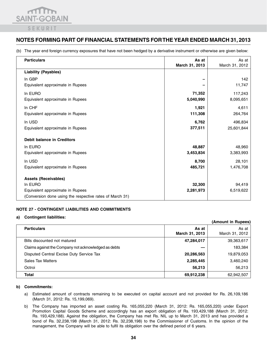

(b) The year end foreign currency exposures that have not been hedged by a derivative instrument or otherwise are given below:

| <b>Particulars</b>                                       | As at<br>March 31, 2013 | As at<br>March 31, 2012 |
|----------------------------------------------------------|-------------------------|-------------------------|
| <b>Liability (Payables)</b>                              |                         |                         |
| In GBP                                                   |                         | 142                     |
| Equivalent approximate in Rupees                         |                         | 11,747                  |
| In EURO                                                  | 71,352                  | 117,243                 |
| Equivalent approximate in Rupees                         | 5,040,990               | 8,095,651               |
| In CHF                                                   | 1,921                   | 4,611                   |
| Equivalent approximate in Rupees                         | 111,308                 | 264,764                 |
| In USD                                                   | 6,762                   | 496,834                 |
| Equivalent approximate in Rupees                         | 377,511                 | 25,601,844              |
|                                                          |                         |                         |
| <b>Debit balance in Creditors</b>                        |                         |                         |
| In EURO                                                  | 48,887                  | 48,960                  |
| Equivalent approximate in Rupees                         | 3,453,834               | 3,383,993               |
| In USD                                                   | 8,700                   | 28,101                  |
| Equivalent approximate in Rupees                         | 485,721                 | 1,476,708               |
|                                                          |                         |                         |
| <b>Assets (Receivables)</b>                              |                         |                         |
| In EURO                                                  | 32,300                  | 94,419                  |
| Equivalent approximate in Rupees                         | 2,281,973               | 6,519,622               |
| (Conversion done using the respective rates of March 31) |                         |                         |

#### **NOTE 27 - CONTINGENT LIABILITIES AND COMMITMENTS**

#### **a) Contingent liabilities:**

|                                                      |                         | (Allioulit III nupees)  |
|------------------------------------------------------|-------------------------|-------------------------|
| <b>Particulars</b>                                   | As at<br>March 31, 2013 | As at<br>March 31, 2012 |
| Bills discounted not matured                         | 47,284,017              | 39,363,617              |
| Claims against the Company not acknowledged as debts |                         | 183,384                 |
| Disputed Central Excise Duty Service Tax             | 20,286,563              | 19,879,053              |
| <b>Sales Tax Matters</b>                             | 2,285,445               | 3,460,240               |
| Octroi                                               | 56,213                  | 56,213                  |
| Total                                                | 69,912,238              | 62,942,507              |

**(Amount in Rupees)**

#### **b) Commitments:**

- a) Estimated amount of contracts remaining to be executed on capital account and not provided for Rs. 26,109,186 (March 31, 2012: Rs. 15,199,069).
- b) The Company has imported an asset costing Rs. 165,055,220 (March 31, 2012: Rs. 165,055,220) under Export Promotion Capital Goods Scheme and accordingly has an export obligation of Rs. 193,429,188 (March 31, 2012: Rs. 193,429,188). Against the obligation, the Company has met Rs. NIL up to March 31, 2013 and has provided a bond of Rs. 32,238,198 (March 31, 2012: Rs. 32,238,198) to the Commissioner of Customs. In the opinion of the management, the Company will be able to fulfil its obligation over the defined period of 6 years.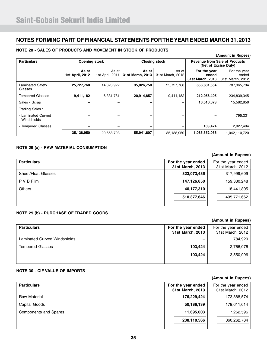#### **Particulars COPEN EXECUTE: CLOSING COPENSITY COPENSITY COPENSITY COPENSITY Revenue from Sale of Products <b>Products (Net of Excise Duty) As at 1st April, 2012** As at 1st April, 2011 **As at 31st March, 2013** As at 31st March, 2012 **For the year ended 31st March, 2013** For the year ended 31st March, 2012 Laminated Safety Glasses  **25,727,768** 14,326,922 **35,026,750** 25,727,768 **856,881,554** 787,965,794 Tempered Glasses **9,411,182** 6,331,781 **20,914,857** 9,411,182 **212,056,405** 234,839,345 Sales - Scrap **–** – **–** – **16,510,673** 15,582,856 Trading Sales : - Laminated Curved Windshields  **–** – **–** – **–** 795,231 - Tempered Glasses **–** – **–** – **103,424** 2,927,494  **35,138,950** 20,658,703 **55,941,607** 35,138,950 **1,085,552,056** 1,042,110,720

#### **NOTE 28 - SALES OF PRODUCTS AND MOVEMENT IN STOCK OF PRODUCTS**

#### **NOTE 29 (a) - RAW MATERIAL CONSUMPTION**

#### **(Amount in Rupees)**

**(Amount in Rupees)**

| <b>Particulars</b>         | For the year ended<br>31st March, 2013 | For the year ended<br>31st March, 2012 |
|----------------------------|----------------------------------------|----------------------------------------|
| <b>Sheet/Float Glasses</b> | 323,073,486                            | 317,999,609                            |
| P V B Film                 | 147,126,850                            | 159,330,248                            |
| <b>Others</b>              | 40,177,310                             | 18,441,805                             |
|                            | 510,377,646                            | 495,771,662                            |

#### **NOTE 29 (b) - PURCHASE OF TRADED GOODS**

| <b>Particulars</b>                  | For the year ended | For the year ended |
|-------------------------------------|--------------------|--------------------|
|                                     | 31st March, 2013   | 31st March, 2012   |
| <b>Laminated Curved Windshields</b> |                    | 784,920            |
| <b>Tempered Glasses</b>             | 103,424            | 2,766,076          |
|                                     | 103,424            | 3,550,996          |
|                                     |                    |                    |

#### **NOTE 30 - CIF VALUE OF IMPORTS**

|                              |                                        | (Amount in Rupees)                     |
|------------------------------|----------------------------------------|----------------------------------------|
| <b>Particulars</b>           | For the year ended<br>31st March, 2013 | For the year ended<br>31st March, 2012 |
| <b>Raw Material</b>          | 176,229,424                            | 173,388,574                            |
| Capital Goods                | 50,186,139                             | 179,611,614                            |
| <b>Components and Spares</b> | 11,695,003                             | 7,262,596                              |
|                              | 238,110,566                            | 360,262,784                            |

### **(Amount in Rupees)**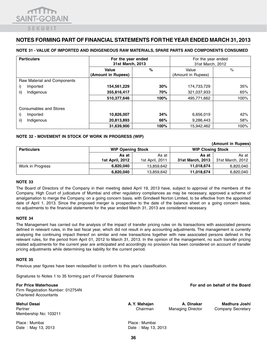#### **NOTE 31 - VALUE OF IMPORTED AND INDIGENEOUS RAW MATERIALS, SPARE PARTS AND COMPONENTS CONSUMED**

| <b>Particulars</b>          | For the year ended<br>31st March, 2013 |      | For the year ended<br>31st March, 2012 |      |
|-----------------------------|----------------------------------------|------|----------------------------------------|------|
|                             | %<br>Value<br>(Amount in Rupees)       |      | Value<br>(Amount in Rupees)            | %    |
| Raw Material and Components |                                        |      |                                        |      |
| i)<br>Imported              | 154,561,229                            | 30%  | 174,733,729                            | 35%  |
| ii)<br>Indigenous           | 355,816,417                            | 70%  | 321,037,933                            | 65%  |
|                             | 510,377,646                            | 100% | 495,771,662                            | 100% |
| Consumables and Stores      |                                        |      |                                        |      |
| i)<br>Imported              | 10,826,007                             | 34%  | 6,656,019                              | 42%  |
| ii)<br>Indigenous           | 20,813,893                             | 66%  | 9,286,443                              | 58%  |
|                             | 31,639,900                             | 100% | 15,942,462                             | 100% |

#### **NOTE 32 - MOVEMENT IN STOCK OF WORK IN PROGRESS (WIP)**

|                    |                          |                 |                          | (Amount in Rupees) |
|--------------------|--------------------------|-----------------|--------------------------|--------------------|
| <b>Particulars</b> | <b>WIP Opening Stock</b> |                 | <b>WIP Closing Stock</b> |                    |
|                    | As at                    | As at           | As at                    | As at I            |
|                    | <b>1st April, 2012</b>   | 1st April, 2011 | 31st March, 2013         | 31st March, 2012   |
| Work in Progress   | 6,820,040                | 13.859.642      | 11,018,674               | 6,820,040          |
|                    | 6,820,040                | 13,859,642      | 11,018,674               | 6,820,040          |

#### **Note 33**

The Board of Directors of the Company in their meeting dated April 19, 2013 have, subject to approval of the members of the Company, High Court of judicature of Mumbai and other regulatory compliances as may be necessary, approved a scheme of amalgamation to merge the Company, on a going concern basis, with Grindwell Norton Limited, to be effective from the appointed date of April 1, 2013. Since the proposed merger is prospective to the date of the balance sheet on a going concern basis, no adjustments to the financial statements for the year ended March 31, 2013 are considered necessary.

#### **NOTE 34**

The Management has carried out the analysis of the impact of transfer pricing rules on its transactions with associated persons defined in relevant rules, in the last fiscal year, which did not result in any accounting adjustments. The management is currently analysing the continuing impact thereof on similar and new transactions together with new associated persons defined in the relevant rules, for the period from April 01, 2012 to March 31, 2013. In the opinion of the management, no such transfer pricing related adjustments for the current year are anticipated and accordingly no provision has been considered on account of transfer pricing adjustments while determining tax liability for the current period.

#### **NOTE 35**

Previous year figures have been reclassified to conform to this year's classification.

Signatures to Notes 1 to 35 forming part of Financial Statements

| <b>For Price Waterhouse</b><br>Firm Registration Number: 012754N<br><b>Chartered Accountants</b> |                           |                                        | For and on behalf of the Board     |
|--------------------------------------------------------------------------------------------------|---------------------------|----------------------------------------|------------------------------------|
| <b>Mehul Desai</b><br>Partner<br>Membership No: 103211                                           | A. Y. Mahajan<br>Chairman | A. Dinakar<br><b>Managing Director</b> | Madhura Joshi<br>Company Secretary |
| Place: Mumbai                                                                                    | Place: Mumbai             |                                        |                                    |

Date : May 13, 2013 Date : May 13, 2013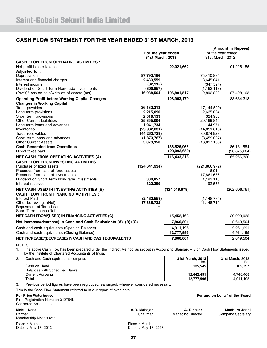### **CASH FLOW STATEMENT FOR THE YEAR ENDED 31ST MARCH, 2013**

|                                                                                                 |                                        |                 |                                        | (Amount in Rupees) |
|-------------------------------------------------------------------------------------------------|----------------------------------------|-----------------|----------------------------------------|--------------------|
|                                                                                                 | For the year ended<br>31st March, 2013 |                 | For the year ended<br>31st March, 2012 |                    |
| <b>CASH FLOW FROM OPERATING ACTIVITIES :</b>                                                    |                                        |                 |                                        |                    |
| Net profit before taxation                                                                      |                                        | 22,021,662      |                                        | 101,226,155        |
| Adjusted for:                                                                                   |                                        |                 |                                        |                    |
| Depreciation<br>Interest and financial charges                                                  | 87,793,166<br>2,433,559                |                 | 75,410,884<br>3,645,041                |                    |
| Interest income                                                                                 | (32, 915)                              |                 | (347, 524)                             |                    |
| Dividend on Short Term Non-trade Investments                                                    | (300, 857)                             |                 | (1, 193, 118)                          |                    |
| (Profit)/Loss on sale/write off of assets (net)                                                 | 16,988,564                             | 106,881,517     | 9,892,880                              | 87,408,163         |
| <b>Operating Profit before Working Capital Changes</b>                                          |                                        | 128,903,179     |                                        | 188,634,318        |
| <b>Changes in Working Capital</b>                                                               |                                        |                 |                                        |                    |
| Trade payables                                                                                  | 36,133,213                             |                 | (17, 144, 500)                         |                    |
| Long term provisions                                                                            | 2,215,090                              |                 | 2,635,024                              |                    |
| Short term provisions                                                                           | 2,518,133                              |                 | 324,983                                |                    |
| <b>Other Current Liabilities</b>                                                                | 35,855,004                             |                 | 20,169,845                             |                    |
| Long term loans and advances<br>Inventories                                                     | 1,941,734<br>(29, 982, 831)            |                 | 44,971<br>(14, 851, 810)               |                    |
| Trade receivables                                                                               | (44, 262, 739)                         |                 | 30,874,923                             |                    |
| Short term loans and advances                                                                   | (1,873,767)                            |                 | (8,459,037)                            |                    |
| <b>Other Current Assets</b>                                                                     | 5,079,950                              |                 | (16.097, 133)                          |                    |
| <b>Cash Generated from Operations</b>                                                           |                                        | 136,526,966     |                                        | 186, 131, 584      |
| Direct taxes paid                                                                               |                                        | (20,093,650)    |                                        | (20, 875, 264)     |
| <b>NET CASH FROM OPERATING ACTIVITIES (A)</b>                                                   |                                        | 116,433,316     |                                        | 165,256,320        |
| <b>CASH FLOW FROM INVESTING ACTIVITIES :</b>                                                    |                                        |                 |                                        |                    |
| Purchase of fixed assets                                                                        | (124, 641, 934)                        |                 | (221, 860, 972)                        |                    |
| Proceeds from sale of fixed assets                                                              |                                        |                 | 6,914                                  |                    |
| Proceeds from sale of investments                                                               |                                        |                 | 17,861,636                             |                    |
| Dividend on Short Term Non-trade Investments                                                    | 300,857                                |                 | 1,193,118                              |                    |
| Interest received                                                                               | 322,399                                |                 | 192,553                                |                    |
| <b>NET CASH USED IN INVESTING ACTIVITIES (B)</b><br><b>CASH FLOW FROM FINANCING ACTIVITIES:</b> |                                        | (124, 018, 678) |                                        | (202, 606, 751)    |
| <b>Interest Paid</b>                                                                            | (2,433,559)                            |                 | (1, 148, 784)                          |                    |
| Other borrowings (Net)                                                                          | 17,885,722                             |                 | 41,148,719                             |                    |
| Repayment of Term Loan                                                                          |                                        |                 |                                        |                    |
| Short Term Loans (Net)                                                                          |                                        |                 |                                        |                    |
| <b>NET CASH FROM/(USED) IN FINANCING ACTIVITIES (C)</b>                                         |                                        | 15,452,163      |                                        | 39,999,935         |
| Net increase/(decrease) in Cash and Cash Equivalents (A)+(B)+(C)                                |                                        | 7,866,801       |                                        | 2,649,504          |
| Cash and cash equivalents (Opening Balance)                                                     |                                        | 4,911,195       |                                        | 2,261,691          |
| Cash and cash equivalents (Closing Balance)                                                     |                                        | 12,777,996      |                                        | 4,911,195          |
| NET INCREASE/(DECREASE) IN CASH AND CASH EQUIVALENTS                                            |                                        | 7,866,801       |                                        | 2,649,504          |
| NOTES:                                                                                          |                                        |                 |                                        |                    |

1. The above Cash Flow has been prepared under the 'Indirect Method' as set out in Accounting Standard – 3 on Cash Flow Statements issued by the Institute of Chartered Accountants of India.

| Cash and Cash equivalents comprise :           | 31st March, 2013<br>Rs. | 31st March, 2012<br>Rs. |
|------------------------------------------------|-------------------------|-------------------------|
| Cash on Hand<br>Balances with Scheduled Banks: | 135.545                 | 162.727                 |
| Current Accounts                               | 12.642.451              | 4.748.468               |
| <b>Total</b>                                   | 12.777.996              | 4,911,195               |

3. Previous period figures have been regrouped/rearranged, wherever considered necessary.

This is the Cash Flow Statement referred to in our report of even date.

#### **For Price Waterhouse For and on behalf of the Board**

Firm Registration Number: 012754N Chartered Accountants

Partner **Chairman** Managing Director Company Secretary Membership No: 103211

**Mehul Desai A. Y. Mahajan A. Dinakar Madhura Joshi** 

Place : Mumbai <br>
Date : May 13, 2013 <br>
Date : May 13, 2013 Date : May 13, 2013 Date : May 13, 2013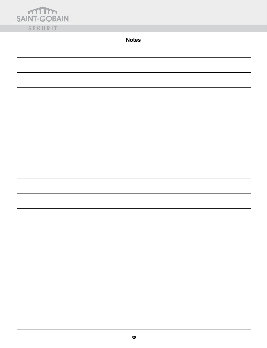| <b>MID</b><br><b>SAINT-GOBAIN</b> |
|-----------------------------------|
| SEKURIT                           |

**Notes**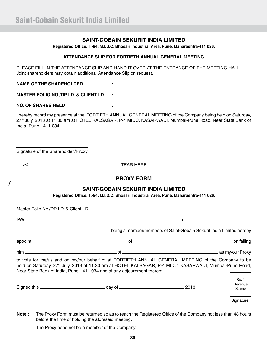### **SAINT-GOBAIN SEKURIT INDIA LIMITED**

**Registered Office: T:-94, M.I.D.C. Bhosari Industrial Area, Pune, Maharashtra-411 026.**

#### **ATTENDANCE SLIP FOR FORTIETH ANNUAL GENERAL MEETING**

Please fill in the attendance slip and hand it over at the entrance of the meeting hall. Joint shareholders may obtain additional Attendance Slip on request.

**NAME OF THE SHAREHOLDER :**

**MASTER FOLIO NO./DP I.D. & CLIENT I.D. :**

#### **NO. OF SHARES HELD :**

y<br>Jo

I hereby record my presence at the FORTIETH ANNUAL GENERAL MEETING of the Company being held on Saturday, 27<sup>th</sup> July, 2013 at 11.30 am at HOTEL KALSAGAR, P-4 MIDC, KASARWADI, Mumbai-Pune Road, Near State Bank of India, Pune - 411 034.

Signature of the Shareholder/Proxy

TEAR HERE "

### **PROXY FORM**

### **SAINT-GOBAIN SEKURIT INDIA LIMITED**

**Registered Office: T:-94, M.I.D.C. Bhosari Industrial Area, Pune, Maharashtra-411 026.**

| Master Folio No./DP I.D. & Client I.D. <b>And Accept and Accept and Accept and Accept and Accept and Accept and Accept</b>                                                                                                                                                                           |                                                                     |                           |
|------------------------------------------------------------------------------------------------------------------------------------------------------------------------------------------------------------------------------------------------------------------------------------------------------|---------------------------------------------------------------------|---------------------------|
|                                                                                                                                                                                                                                                                                                      |                                                                     |                           |
|                                                                                                                                                                                                                                                                                                      | being a member/members of Saint-Gobain Sekurit India Limited hereby |                           |
|                                                                                                                                                                                                                                                                                                      |                                                                     |                           |
|                                                                                                                                                                                                                                                                                                      |                                                                     |                           |
| to vote for me/us and on my/our behalf of at FORTIETH ANNUAL GENERAL MEETING of the Company to be<br>held on Saturday, 27 <sup>th</sup> July, 2013 at 11.30 am at HOTEL KALSAGAR, P-4 MIDC, KASARWADI, Mumbai-Pune Road,<br>Near State Bank of India, Pune - 411 034 and at any adjournment thereof. |                                                                     |                           |
|                                                                                                                                                                                                                                                                                                      |                                                                     | Re. 1<br>Revenue<br>Stamp |
|                                                                                                                                                                                                                                                                                                      |                                                                     | Signature                 |

**Note :** The Proxy Form must be returned so as to reach the Registered Office of the Company not less than 48 hours before the time of holding the aforesaid meeting.

The Proxy need not be a member of the Company.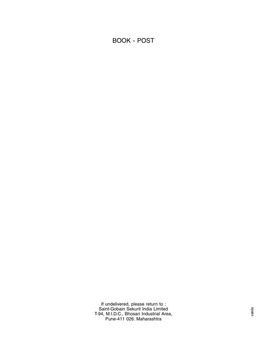### BOOK - POST

If undelivered, please return to : Saint-Gobain Sekurit India Limited T-94, M.I.D.C., Bhosari Industrial Area, Pune-411 026. Maharashtra